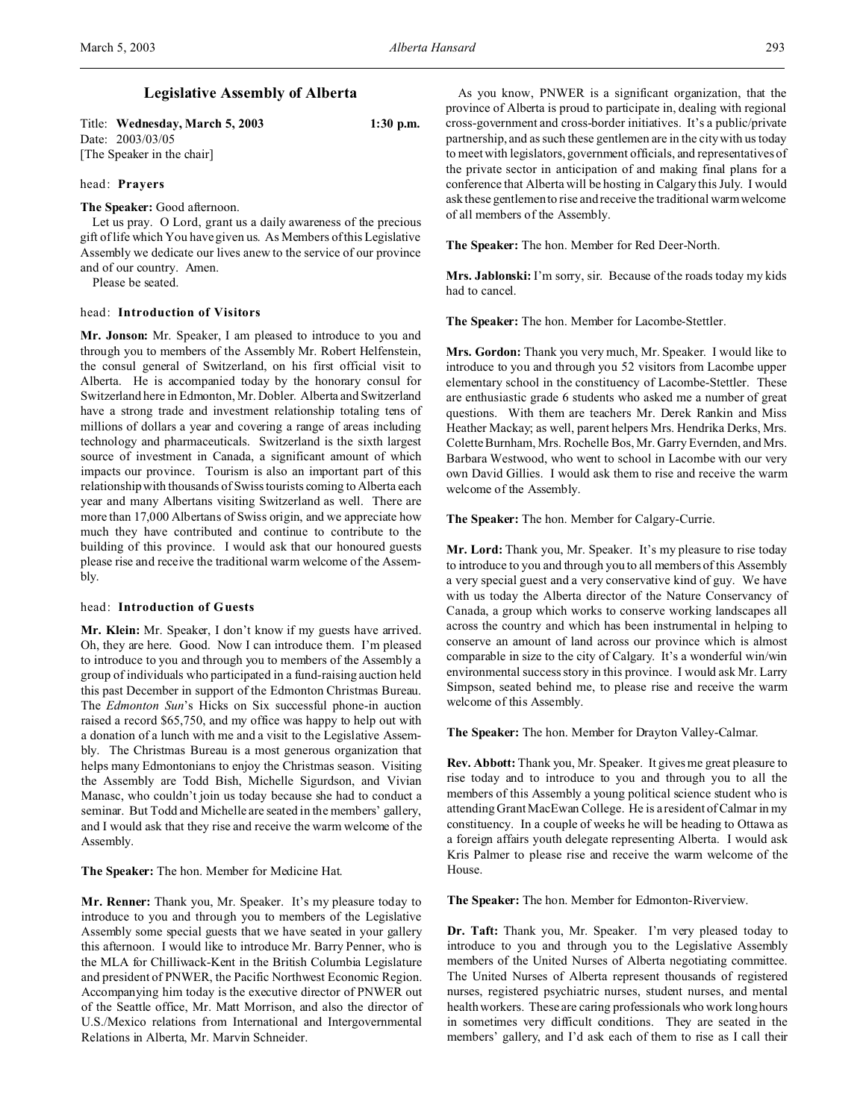| Title: Wednesday, March 5, 2003 | $1:30$ p.m. |
|---------------------------------|-------------|
| Date: 2003/03/05                |             |
| [The Speaker in the chair]      |             |

head: **Prayers**

**The Speaker:** Good afternoon.

Let us pray. O Lord, grant us a daily awareness of the precious gift of life which You have given us. As Members of this Legislative Assembly we dedicate our lives anew to the service of our province and of our country. Amen.

Please be seated.

### head: **Introduction of Visitors**

**Mr. Jonson:** Mr. Speaker, I am pleased to introduce to you and through you to members of the Assembly Mr. Robert Helfenstein, the consul general of Switzerland, on his first official visit to Alberta. He is accompanied today by the honorary consul for Switzerland here in Edmonton, Mr. Dobler. Alberta and Switzerland have a strong trade and investment relationship totaling tens of millions of dollars a year and covering a range of areas including technology and pharmaceuticals. Switzerland is the sixth largest source of investment in Canada, a significant amount of which impacts our province. Tourism is also an important part of this relationship with thousands of Swiss tourists coming to Alberta each year and many Albertans visiting Switzerland as well. There are more than 17,000 Albertans of Swiss origin, and we appreciate how much they have contributed and continue to contribute to the building of this province. I would ask that our honoured guests please rise and receive the traditional warm welcome of the Assembly.

### head: **Introduction of Guests**

**Mr. Klein:** Mr. Speaker, I don't know if my guests have arrived. Oh, they are here. Good. Now I can introduce them. I'm pleased to introduce to you and through you to members of the Assembly a group of individuals who participated in a fund-raising auction held this past December in support of the Edmonton Christmas Bureau. The *Edmonton Sun*'s Hicks on Six successful phone-in auction raised a record \$65,750, and my office was happy to help out with a donation of a lunch with me and a visit to the Legislative Assembly. The Christmas Bureau is a most generous organization that helps many Edmontonians to enjoy the Christmas season. Visiting the Assembly are Todd Bish, Michelle Sigurdson, and Vivian Manasc, who couldn't join us today because she had to conduct a seminar. But Todd and Michelle are seated in the members' gallery, and I would ask that they rise and receive the warm welcome of the Assembly.

**The Speaker:** The hon. Member for Medicine Hat.

**Mr. Renner:** Thank you, Mr. Speaker. It's my pleasure today to introduce to you and through you to members of the Legislative Assembly some special guests that we have seated in your gallery this afternoon. I would like to introduce Mr. Barry Penner, who is the MLA for Chilliwack-Kent in the British Columbia Legislature and president of PNWER, the Pacific Northwest Economic Region. Accompanying him today is the executive director of PNWER out of the Seattle office, Mr. Matt Morrison, and also the director of U.S./Mexico relations from International and Intergovernmental Relations in Alberta, Mr. Marvin Schneider.

As you know, PNWER is a significant organization, that the province of Alberta is proud to participate in, dealing with regional cross-government and cross-border initiatives. It's a public/private partnership, and as such these gentlemen are in the city with us today to meet with legislators, government officials, and representatives of the private sector in anticipation of and making final plans for a conference that Alberta will be hosting in Calgary this July. I would ask these gentlemen to rise and receive the traditional warm welcome of all members of the Assembly.

**The Speaker:** The hon. Member for Red Deer-North.

**Mrs. Jablonski:** I'm sorry, sir. Because of the roads today my kids had to cancel.

**The Speaker:** The hon. Member for Lacombe-Stettler.

**Mrs. Gordon:** Thank you very much, Mr. Speaker. I would like to introduce to you and through you 52 visitors from Lacombe upper elementary school in the constituency of Lacombe-Stettler. These are enthusiastic grade 6 students who asked me a number of great questions. With them are teachers Mr. Derek Rankin and Miss Heather Mackay; as well, parent helpers Mrs. Hendrika Derks, Mrs. Colette Burnham, Mrs. Rochelle Bos, Mr. Garry Evernden, and Mrs. Barbara Westwood, who went to school in Lacombe with our very own David Gillies. I would ask them to rise and receive the warm welcome of the Assembly.

**The Speaker:** The hon. Member for Calgary-Currie.

**Mr. Lord:** Thank you, Mr. Speaker. It's my pleasure to rise today to introduce to you and through you to all members of this Assembly a very special guest and a very conservative kind of guy. We have with us today the Alberta director of the Nature Conservancy of Canada, a group which works to conserve working landscapes all across the country and which has been instrumental in helping to conserve an amount of land across our province which is almost comparable in size to the city of Calgary. It's a wonderful win/win environmental success story in this province. I would ask Mr. Larry Simpson, seated behind me, to please rise and receive the warm welcome of this Assembly.

**The Speaker:** The hon. Member for Drayton Valley-Calmar.

**Rev. Abbott:** Thank you, Mr. Speaker. It gives me great pleasure to rise today and to introduce to you and through you to all the members of this Assembly a young political science student who is attending Grant MacEwan College. He is a resident of Calmar in my constituency. In a couple of weeks he will be heading to Ottawa as a foreign affairs youth delegate representing Alberta. I would ask Kris Palmer to please rise and receive the warm welcome of the House.

**The Speaker:** The hon. Member for Edmonton-Riverview.

**Dr. Taft:** Thank you, Mr. Speaker. I'm very pleased today to introduce to you and through you to the Legislative Assembly members of the United Nurses of Alberta negotiating committee. The United Nurses of Alberta represent thousands of registered nurses, registered psychiatric nurses, student nurses, and mental health workers. These are caring professionals who work long hours in sometimes very difficult conditions. They are seated in the members' gallery, and I'd ask each of them to rise as I call their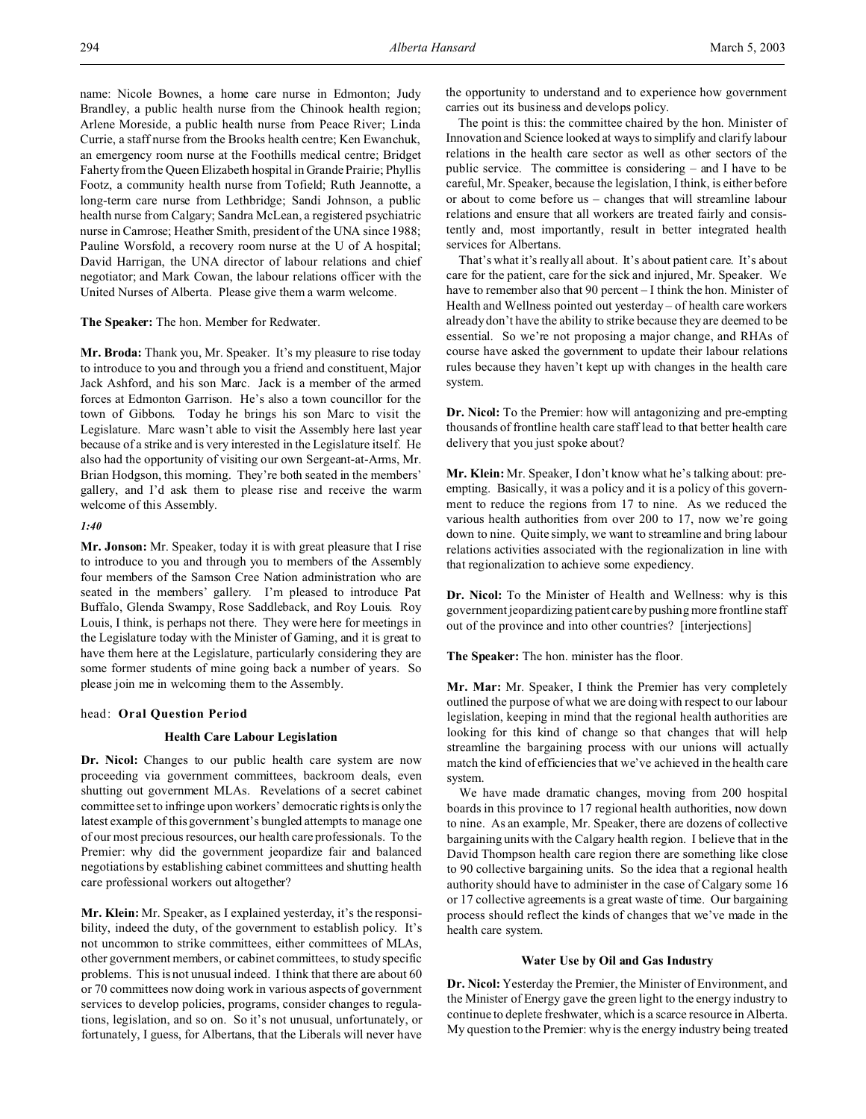name: Nicole Bownes, a home care nurse in Edmonton; Judy Brandley, a public health nurse from the Chinook health region; Arlene Moreside, a public health nurse from Peace River; Linda Currie, a staff nurse from the Brooks health centre; Ken Ewanchuk, an emergency room nurse at the Foothills medical centre; Bridget Faherty from the Queen Elizabeth hospital in Grande Prairie; Phyllis Footz, a community health nurse from Tofield; Ruth Jeannotte, a long-term care nurse from Lethbridge; Sandi Johnson, a public health nurse from Calgary; Sandra McLean, a registered psychiatric nurse in Camrose; Heather Smith, president of the UNA since 1988; Pauline Worsfold, a recovery room nurse at the U of A hospital; David Harrigan, the UNA director of labour relations and chief negotiator; and Mark Cowan, the labour relations officer with the United Nurses of Alberta. Please give them a warm welcome.

#### **The Speaker:** The hon. Member for Redwater.

**Mr. Broda:** Thank you, Mr. Speaker. It's my pleasure to rise today to introduce to you and through you a friend and constituent, Major Jack Ashford, and his son Marc. Jack is a member of the armed forces at Edmonton Garrison. He's also a town councillor for the town of Gibbons. Today he brings his son Marc to visit the Legislature. Marc wasn't able to visit the Assembly here last year because of a strike and is very interested in the Legislature itself. He also had the opportunity of visiting our own Sergeant-at-Arms, Mr. Brian Hodgson, this morning. They're both seated in the members' gallery, and I'd ask them to please rise and receive the warm welcome of this Assembly.

## *1:40*

**Mr. Jonson:** Mr. Speaker, today it is with great pleasure that I rise to introduce to you and through you to members of the Assembly four members of the Samson Cree Nation administration who are seated in the members' gallery. I'm pleased to introduce Pat Buffalo, Glenda Swampy, Rose Saddleback, and Roy Louis. Roy Louis, I think, is perhaps not there. They were here for meetings in the Legislature today with the Minister of Gaming, and it is great to have them here at the Legislature, particularly considering they are some former students of mine going back a number of years. So please join me in welcoming them to the Assembly.

#### head: **Oral Question Period**

## **Health Care Labour Legislation**

**Dr. Nicol:** Changes to our public health care system are now proceeding via government committees, backroom deals, even shutting out government MLAs. Revelations of a secret cabinet committee set to infringe upon workers' democratic rights is only the latest example of this government's bungled attempts to manage one of our most precious resources, our health care professionals. To the Premier: why did the government jeopardize fair and balanced negotiations by establishing cabinet committees and shutting health care professional workers out altogether?

**Mr. Klein:** Mr. Speaker, as I explained yesterday, it's the responsibility, indeed the duty, of the government to establish policy. It's not uncommon to strike committees, either committees of MLAs, other government members, or cabinet committees, to study specific problems. This is not unusual indeed. I think that there are about 60 or 70 committees now doing work in various aspects of government services to develop policies, programs, consider changes to regulations, legislation, and so on. So it's not unusual, unfortunately, or fortunately, I guess, for Albertans, that the Liberals will never have

the opportunity to understand and to experience how government carries out its business and develops policy.

The point is this: the committee chaired by the hon. Minister of Innovation and Science looked at ways to simplify and clarify labour relations in the health care sector as well as other sectors of the public service. The committee is considering – and I have to be careful, Mr. Speaker, because the legislation, I think, is either before or about to come before us – changes that will streamline labour relations and ensure that all workers are treated fairly and consistently and, most importantly, result in better integrated health services for Albertans.

That's what it's really all about. It's about patient care. It's about care for the patient, care for the sick and injured, Mr. Speaker. We have to remember also that 90 percent – I think the hon. Minister of Health and Wellness pointed out yesterday – of health care workers already don't have the ability to strike because they are deemed to be essential. So we're not proposing a major change, and RHAs of course have asked the government to update their labour relations rules because they haven't kept up with changes in the health care system.

**Dr. Nicol:** To the Premier: how will antagonizing and pre-empting thousands of frontline health care staff lead to that better health care delivery that you just spoke about?

**Mr. Klein:** Mr. Speaker, I don't know what he's talking about: preempting. Basically, it was a policy and it is a policy of this government to reduce the regions from 17 to nine. As we reduced the various health authorities from over 200 to 17, now we're going down to nine. Quite simply, we want to streamline and bring labour relations activities associated with the regionalization in line with that regionalization to achieve some expediency.

**Dr. Nicol:** To the Minister of Health and Wellness: why is this government jeopardizing patient care by pushing more frontline staff out of the province and into other countries? [interjections]

**The Speaker:** The hon. minister has the floor.

**Mr. Mar:** Mr. Speaker, I think the Premier has very completely outlined the purpose of what we are doing with respect to our labour legislation, keeping in mind that the regional health authorities are looking for this kind of change so that changes that will help streamline the bargaining process with our unions will actually match the kind of efficiencies that we've achieved in the health care system.

We have made dramatic changes, moving from 200 hospital boards in this province to 17 regional health authorities, now down to nine. As an example, Mr. Speaker, there are dozens of collective bargaining units with the Calgary health region. I believe that in the David Thompson health care region there are something like close to 90 collective bargaining units. So the idea that a regional health authority should have to administer in the case of Calgary some 16 or 17 collective agreements is a great waste of time. Our bargaining process should reflect the kinds of changes that we've made in the health care system.

## **Water Use by Oil and Gas Industry**

**Dr. Nicol:** Yesterday the Premier, the Minister of Environment, and the Minister of Energy gave the green light to the energy industry to continue to deplete freshwater, which is a scarce resource in Alberta. My question to the Premier: why is the energy industry being treated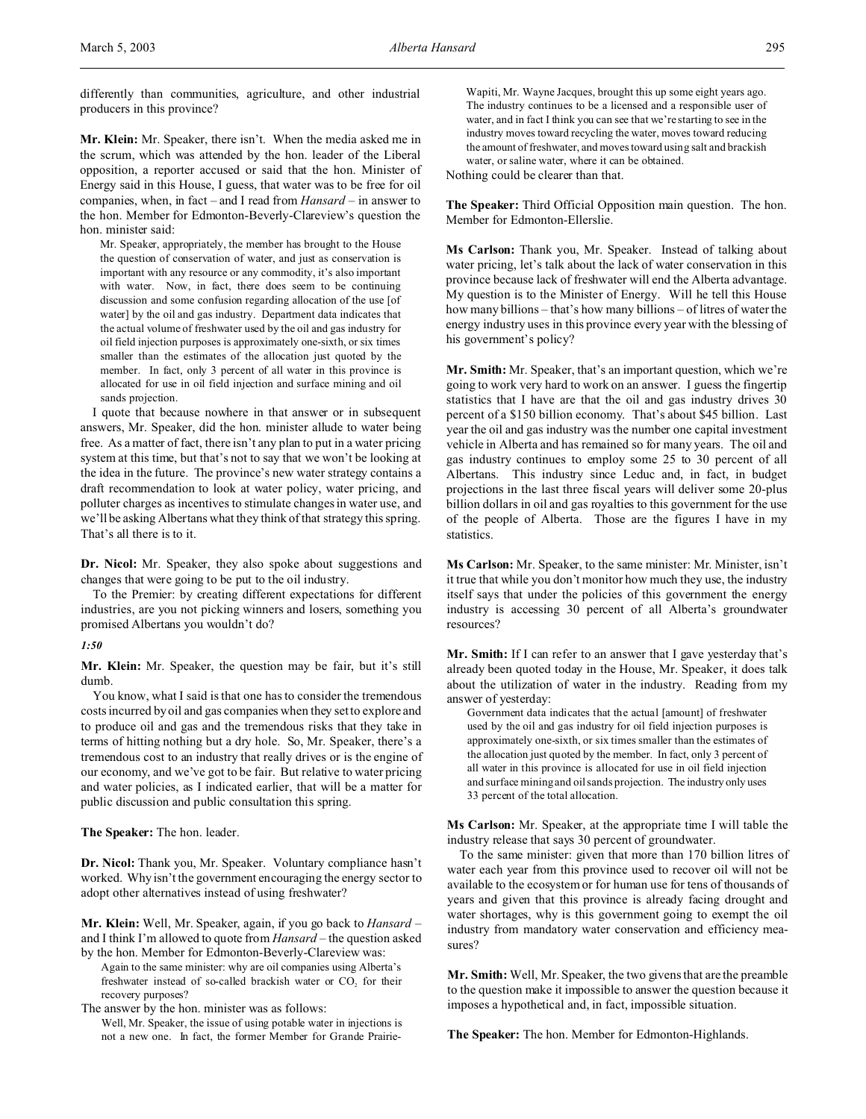differently than communities, agriculture, and other industrial producers in this province?

**Mr. Klein:** Mr. Speaker, there isn't. When the media asked me in the scrum, which was attended by the hon. leader of the Liberal opposition, a reporter accused or said that the hon. Minister of Energy said in this House, I guess, that water was to be free for oil companies, when, in fact – and I read from *Hansard* – in answer to the hon. Member for Edmonton-Beverly-Clareview's question the hon. minister said:

Mr. Speaker, appropriately, the member has brought to the House the question of conservation of water, and just as conservation is important with any resource or any commodity, it's also important with water. Now, in fact, there does seem to be continuing discussion and some confusion regarding allocation of the use [of water] by the oil and gas industry. Department data indicates that the actual volume of freshwater used by the oil and gas industry for oil field injection purposes is approximately one-sixth, or six times smaller than the estimates of the allocation just quoted by the member. In fact, only 3 percent of all water in this province is allocated for use in oil field injection and surface mining and oil sands projection.

I quote that because nowhere in that answer or in subsequent answers, Mr. Speaker, did the hon. minister allude to water being free. As a matter of fact, there isn't any plan to put in a water pricing system at this time, but that's not to say that we won't be looking at the idea in the future. The province's new water strategy contains a draft recommendation to look at water policy, water pricing, and polluter charges as incentives to stimulate changes in water use, and we'll be asking Albertans what they think of that strategy this spring. That's all there is to it.

**Dr. Nicol:** Mr. Speaker, they also spoke about suggestions and changes that were going to be put to the oil industry.

To the Premier: by creating different expectations for different industries, are you not picking winners and losers, something you promised Albertans you wouldn't do?

# *1:50*

**Mr. Klein:** Mr. Speaker, the question may be fair, but it's still dumb.

You know, what I said is that one has to consider the tremendous costs incurred by oil and gas companies when they set to explore and to produce oil and gas and the tremendous risks that they take in terms of hitting nothing but a dry hole. So, Mr. Speaker, there's a tremendous cost to an industry that really drives or is the engine of our economy, and we've got to be fair. But relative to water pricing and water policies, as I indicated earlier, that will be a matter for public discussion and public consultation this spring.

**The Speaker:** The hon. leader.

**Dr. Nicol:** Thank you, Mr. Speaker. Voluntary compliance hasn't worked. Why isn't the government encouraging the energy sector to adopt other alternatives instead of using freshwater?

**Mr. Klein:** Well, Mr. Speaker, again, if you go back to *Hansard* – and I think I'm allowed to quote from *Hansard* – the question asked by the hon. Member for Edmonton-Beverly-Clareview was:

Again to the same minister: why are oil companies using Alberta's freshwater instead of so-called brackish water or  $CO<sub>2</sub>$  for their recovery purposes?

The answer by the hon. minister was as follows:

Well, Mr. Speaker, the issue of using potable water in injections is not a new one. In fact, the former Member for Grande Prairie-

Wapiti, Mr. Wayne Jacques, brought this up some eight years ago. The industry continues to be a licensed and a responsible user of water, and in fact I think you can see that we're starting to see in the industry moves toward recycling the water, moves toward reducing the amount of freshwater, and moves toward using salt and brackish water, or saline water, where it can be obtained.

Nothing could be clearer than that.

**The Speaker:** Third Official Opposition main question. The hon. Member for Edmonton-Ellerslie.

**Ms Carlson:** Thank you, Mr. Speaker. Instead of talking about water pricing, let's talk about the lack of water conservation in this province because lack of freshwater will end the Alberta advantage. My question is to the Minister of Energy. Will he tell this House how many billions – that's how many billions – of litres of water the energy industry uses in this province every year with the blessing of his government's policy?

**Mr. Smith:** Mr. Speaker, that's an important question, which we're going to work very hard to work on an answer. I guess the fingertip statistics that I have are that the oil and gas industry drives 30 percent of a \$150 billion economy. That's about \$45 billion. Last year the oil and gas industry was the number one capital investment vehicle in Alberta and has remained so for many years. The oil and gas industry continues to employ some 25 to 30 percent of all Albertans. This industry since Leduc and, in fact, in budget projections in the last three fiscal years will deliver some 20-plus billion dollars in oil and gas royalties to this government for the use of the people of Alberta. Those are the figures I have in my statistics.

**Ms Carlson:** Mr. Speaker, to the same minister: Mr. Minister, isn't it true that while you don't monitor how much they use, the industry itself says that under the policies of this government the energy industry is accessing 30 percent of all Alberta's groundwater resources?

**Mr. Smith:** If I can refer to an answer that I gave yesterday that's already been quoted today in the House, Mr. Speaker, it does talk about the utilization of water in the industry. Reading from my answer of yesterday:

Government data indicates that the actual [amount] of freshwater used by the oil and gas industry for oil field injection purposes is approximately one-sixth, or six times smaller than the estimates of the allocation just quoted by the member. In fact, only 3 percent of all water in this province is allocated for use in oil field injection and surface mining and oil sands projection. The industry only uses 33 percent of the total allocation.

**Ms Carlson:** Mr. Speaker, at the appropriate time I will table the industry release that says 30 percent of groundwater.

To the same minister: given that more than 170 billion litres of water each year from this province used to recover oil will not be available to the ecosystem or for human use for tens of thousands of years and given that this province is already facing drought and water shortages, why is this government going to exempt the oil industry from mandatory water conservation and efficiency measures?

**Mr. Smith:** Well, Mr. Speaker, the two givens that are the preamble to the question make it impossible to answer the question because it imposes a hypothetical and, in fact, impossible situation.

**The Speaker:** The hon. Member for Edmonton-Highlands.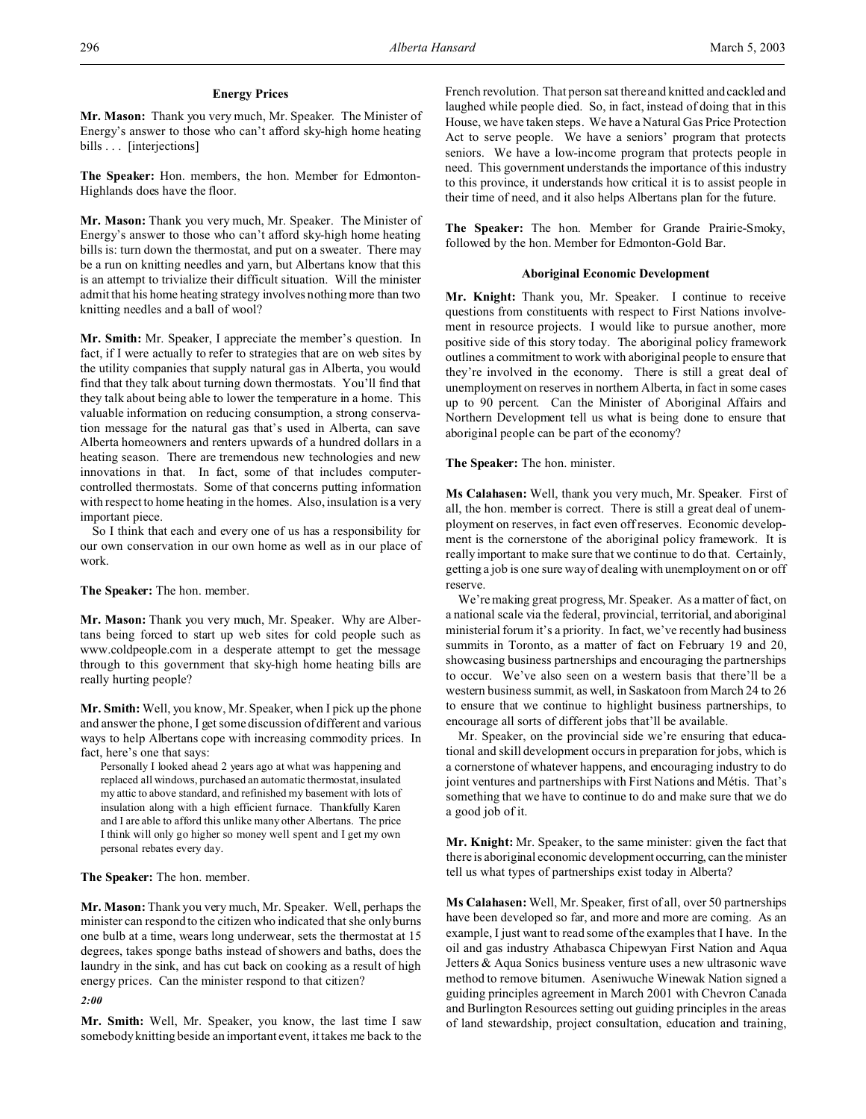# **Energy Prices**

**Mr. Mason:** Thank you very much, Mr. Speaker. The Minister of Energy's answer to those who can't afford sky-high home heating bills . . . [interjections]

**The Speaker:** Hon. members, the hon. Member for Edmonton-Highlands does have the floor.

**Mr. Mason:** Thank you very much, Mr. Speaker. The Minister of Energy's answer to those who can't afford sky-high home heating bills is: turn down the thermostat, and put on a sweater. There may be a run on knitting needles and yarn, but Albertans know that this is an attempt to trivialize their difficult situation. Will the minister admit that his home heating strategy involves nothing more than two knitting needles and a ball of wool?

**Mr. Smith:** Mr. Speaker, I appreciate the member's question. In fact, if I were actually to refer to strategies that are on web sites by the utility companies that supply natural gas in Alberta, you would find that they talk about turning down thermostats. You'll find that they talk about being able to lower the temperature in a home. This valuable information on reducing consumption, a strong conservation message for the natural gas that's used in Alberta, can save Alberta homeowners and renters upwards of a hundred dollars in a heating season. There are tremendous new technologies and new innovations in that. In fact, some of that includes computercontrolled thermostats. Some of that concerns putting information with respect to home heating in the homes. Also, insulation is a very important piece.

So I think that each and every one of us has a responsibility for our own conservation in our own home as well as in our place of work.

### **The Speaker:** The hon. member.

**Mr. Mason:** Thank you very much, Mr. Speaker. Why are Albertans being forced to start up web sites for cold people such as www.coldpeople.com in a desperate attempt to get the message through to this government that sky-high home heating bills are really hurting people?

**Mr. Smith:** Well, you know, Mr. Speaker, when I pick up the phone and answer the phone, I get some discussion of different and various ways to help Albertans cope with increasing commodity prices. In fact, here's one that says:

Personally I looked ahead 2 years ago at what was happening and replaced all windows, purchased an automatic thermostat, insulated my attic to above standard, and refinished my basement with lots of insulation along with a high efficient furnace. Thankfully Karen and I are able to afford this unlike many other Albertans. The price I think will only go higher so money well spent and I get my own personal rebates every day.

# **The Speaker:** The hon. member.

**Mr. Mason:** Thank you very much, Mr. Speaker. Well, perhaps the minister can respond to the citizen who indicated that she only burns one bulb at a time, wears long underwear, sets the thermostat at 15 degrees, takes sponge baths instead of showers and baths, does the laundry in the sink, and has cut back on cooking as a result of high energy prices. Can the minister respond to that citizen?

*2:00*

**Mr. Smith:** Well, Mr. Speaker, you know, the last time I saw somebody knitting beside an important event, it takes me back to the French revolution. That person sat there and knitted and cackled and laughed while people died. So, in fact, instead of doing that in this House, we have taken steps. We have a Natural Gas Price Protection Act to serve people. We have a seniors' program that protects seniors. We have a low-income program that protects people in need. This government understands the importance of this industry to this province, it understands how critical it is to assist people in their time of need, and it also helps Albertans plan for the future.

**The Speaker:** The hon. Member for Grande Prairie-Smoky, followed by the hon. Member for Edmonton-Gold Bar.

#### **Aboriginal Economic Development**

**Mr. Knight:** Thank you, Mr. Speaker. I continue to receive questions from constituents with respect to First Nations involvement in resource projects. I would like to pursue another, more positive side of this story today. The aboriginal policy framework outlines a commitment to work with aboriginal people to ensure that they're involved in the economy. There is still a great deal of unemployment on reserves in northern Alberta, in fact in some cases up to 90 percent. Can the Minister of Aboriginal Affairs and Northern Development tell us what is being done to ensure that aboriginal people can be part of the economy?

### **The Speaker:** The hon. minister.

**Ms Calahasen:** Well, thank you very much, Mr. Speaker. First of all, the hon. member is correct. There is still a great deal of unemployment on reserves, in fact even off reserves. Economic development is the cornerstone of the aboriginal policy framework. It is really important to make sure that we continue to do that. Certainly, getting a job is one sure way of dealing with unemployment on or off reserve.

We're making great progress, Mr. Speaker. As a matter of fact, on a national scale via the federal, provincial, territorial, and aboriginal ministerial forum it's a priority. In fact, we've recently had business summits in Toronto, as a matter of fact on February 19 and 20, showcasing business partnerships and encouraging the partnerships to occur. We've also seen on a western basis that there'll be a western business summit, as well, in Saskatoon from March 24 to 26 to ensure that we continue to highlight business partnerships, to encourage all sorts of different jobs that'll be available.

Mr. Speaker, on the provincial side we're ensuring that educational and skill development occurs in preparation for jobs, which is a cornerstone of whatever happens, and encouraging industry to do joint ventures and partnerships with First Nations and Métis. That's something that we have to continue to do and make sure that we do a good job of it.

**Mr. Knight:** Mr. Speaker, to the same minister: given the fact that there is aboriginal economic developmentoccurring, can the minister tell us what types of partnerships exist today in Alberta?

**Ms Calahasen:** Well, Mr. Speaker, first of all, over 50 partnerships have been developed so far, and more and more are coming. As an example, I just want to read some of the examples that I have. In the oil and gas industry Athabasca Chipewyan First Nation and Aqua Jetters & Aqua Sonics business venture uses a new ultrasonic wave method to remove bitumen. Aseniwuche Winewak Nation signed a guiding principles agreement in March 2001 with Chevron Canada and Burlington Resources setting out guiding principles in the areas of land stewardship, project consultation, education and training,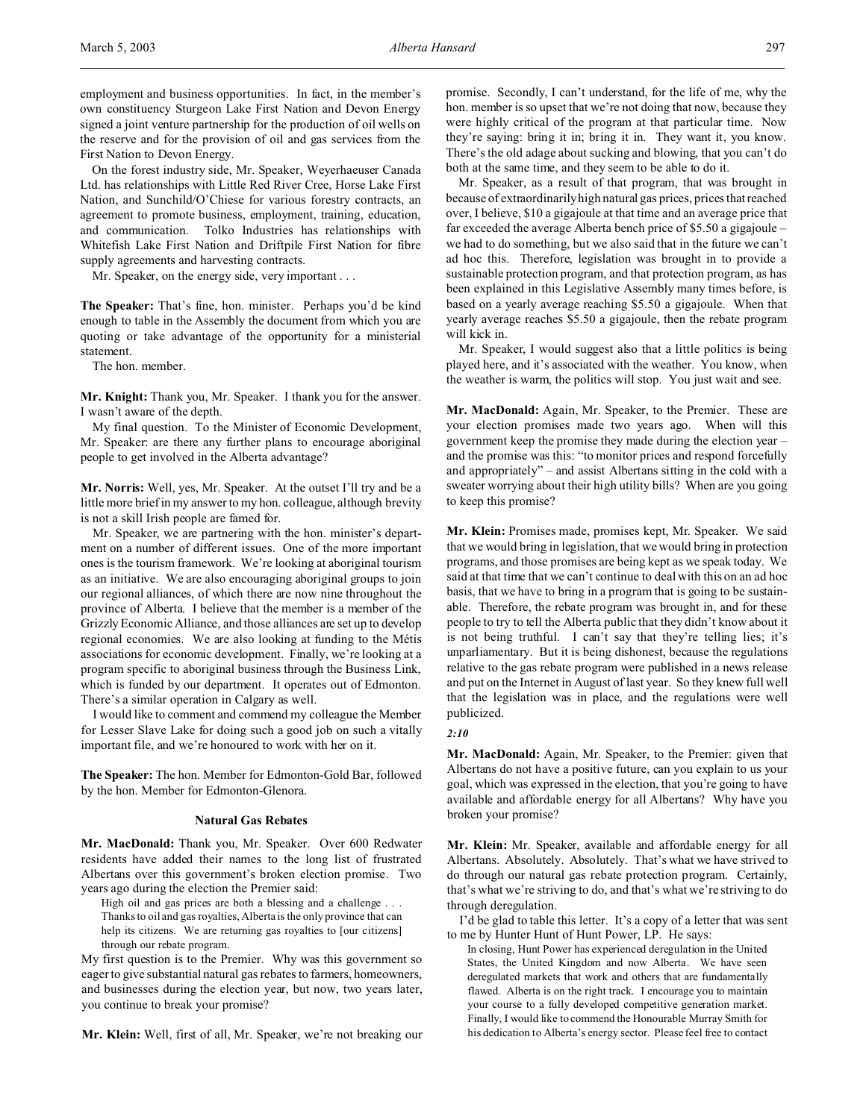employment and business opportunities. In fact, in the member's own constituency Sturgeon Lake First Nation and Devon Energy signed a joint venture partnership for the production of oil wells on the reserve and for the provision of oil and gas services from the First Nation to Devon Energy.

On the forest industry side, Mr. Speaker, Weyerhaeuser Canada Ltd. has relationships with Little Red River Cree, Horse Lake First Nation, and Sunchild/O'Chiese for various forestry contracts, an agreement to promote business, employment, training, education, and communication. Tolko Industries has relationships with Whitefish Lake First Nation and Driftpile First Nation for fibre supply agreements and harvesting contracts.

Mr. Speaker, on the energy side, very important . . .

**The Speaker:** That's fine, hon. minister. Perhaps you'd be kind enough to table in the Assembly the document from which you are quoting or take advantage of the opportunity for a ministerial statement.

The hon. member.

**Mr. Knight:** Thank you, Mr. Speaker. I thank you for the answer. I wasn't aware of the depth.

My final question. To the Minister of Economic Development, Mr. Speaker: are there any further plans to encourage aboriginal people to get involved in the Alberta advantage?

**Mr. Norris:** Well, yes, Mr. Speaker. At the outset I'll try and be a little more brief in my answer to my hon. colleague, although brevity is not a skill Irish people are famed for.

Mr. Speaker, we are partnering with the hon. minister's department on a number of different issues. One of the more important ones is the tourism framework. We're looking at aboriginal tourism as an initiative. We are also encouraging aboriginal groups to join our regional alliances, of which there are now nine throughout the province of Alberta. I believe that the member is a member of the Grizzly Economic Alliance, and those alliances are set up to develop regional economies. We are also looking at funding to the Métis associations for economic development. Finally, we're looking at a program specific to aboriginal business through the Business Link, which is funded by our department. It operates out of Edmonton. There's a similar operation in Calgary as well.

I would like to comment and commend my colleague the Member for Lesser Slave Lake for doing such a good job on such a vitally important file, and we're honoured to work with her on it.

**The Speaker:** The hon. Member for Edmonton-Gold Bar, followed by the hon. Member for Edmonton-Glenora.

#### **Natural Gas Rebates**

**Mr. MacDonald:** Thank you, Mr. Speaker. Over 600 Redwater residents have added their names to the long list of frustrated Albertans over this government's broken election promise. Two years ago during the election the Premier said:

High oil and gas prices are both a blessing and a challenge . . . Thanks to oil and gas royalties, Alberta is the only province that can help its citizens. We are returning gas royalties to [our citizens] through our rebate program.

My first question is to the Premier. Why was this government so eager to give substantial natural gas rebates to farmers, homeowners, and businesses during the election year, but now, two years later, you continue to break your promise?

**Mr. Klein:** Well, first of all, Mr. Speaker, we're not breaking our

promise. Secondly, I can't understand, for the life of me, why the hon. member is so upset that we're not doing that now, because they were highly critical of the program at that particular time. Now they're saying: bring it in; bring it in. They want it, you know. There's the old adage about sucking and blowing, that you can't do both at the same time, and they seem to be able to do it.

Mr. Speaker, as a result of that program, that was brought in because of extraordinarily high natural gas prices, prices that reached over, I believe, \$10 a gigajoule at that time and an average price that far exceeded the average Alberta bench price of \$5.50 a gigajoule – we had to do something, but we also said that in the future we can't ad hoc this. Therefore, legislation was brought in to provide a sustainable protection program, and that protection program, as has been explained in this Legislative Assembly many times before, is based on a yearly average reaching \$5.50 a gigajoule. When that yearly average reaches \$5.50 a gigajoule, then the rebate program will kick in.

Mr. Speaker, I would suggest also that a little politics is being played here, and it's associated with the weather. You know, when the weather is warm, the politics will stop. You just wait and see.

**Mr. MacDonald:** Again, Mr. Speaker, to the Premier. These are your election promises made two years ago. When will this government keep the promise they made during the election year – and the promise was this: "to monitor prices and respond forcefully and appropriately" – and assist Albertans sitting in the cold with a sweater worrying about their high utility bills? When are you going to keep this promise?

**Mr. Klein:** Promises made, promises kept, Mr. Speaker. We said that we would bring in legislation, that we would bring in protection programs, and those promises are being kept as we speak today. We said at that time that we can't continue to deal with this on an ad hoc basis, that we have to bring in a program that is going to be sustainable. Therefore, the rebate program was brought in, and for these people to try to tell the Alberta public that they didn't know about it is not being truthful. I can't say that they're telling lies; it's unparliamentary. But it is being dishonest, because the regulations relative to the gas rebate program were published in a news release and put on the Internet in August of last year. So they knew full well that the legislation was in place, and the regulations were well publicized.

#### *2:10*

**Mr. MacDonald:** Again, Mr. Speaker, to the Premier: given that Albertans do not have a positive future, can you explain to us your goal, which was expressed in the election, that you're going to have available and affordable energy for all Albertans? Why have you broken your promise?

**Mr. Klein:** Mr. Speaker, available and affordable energy for all Albertans. Absolutely. Absolutely. That's what we have strived to do through our natural gas rebate protection program. Certainly, that's what we're striving to do, and that's what we're striving to do through deregulation.

I'd be glad to table this letter. It's a copy of a letter that was sent to me by Hunter Hunt of Hunt Power, LP. He says:

In closing, Hunt Power has experienced deregulation in the United States, the United Kingdom and now Alberta. We have seen deregulated markets that work and others that are fundamentally flawed. Alberta is on the right track. I encourage you to maintain your course to a fully developed competitive generation market. Finally, I would like to commend the Honourable Murray Smith for his dedication to Alberta's energy sector. Please feel free to contact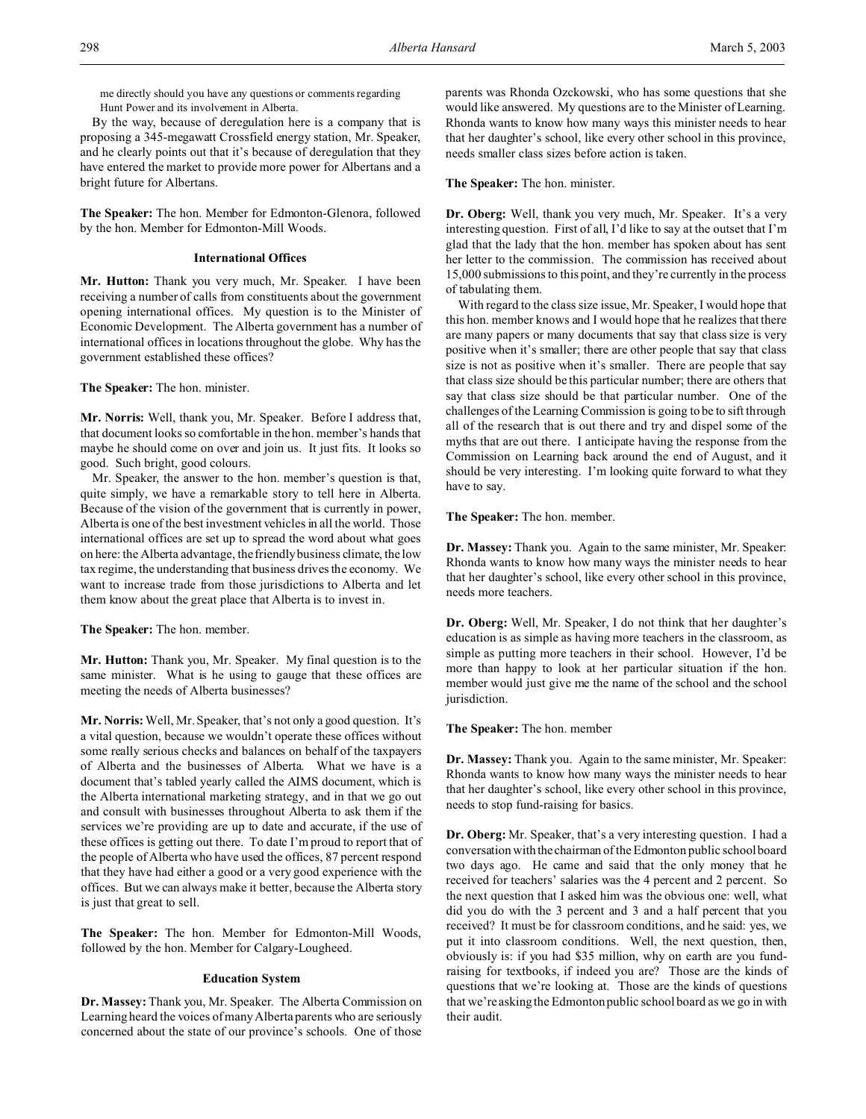me directly should you have any questions or comments regarding Hunt Power and its involvement in Alberta.

By the way, because of deregulation here is a company that is proposing a 345-megawatt Crossfield energy station, Mr. Speaker, and he clearly points out that it's because of deregulation that they have entered the market to provide more power for Albertans and a bright future for Albertans.

**The Speaker:** The hon. Member for Edmonton-Glenora, followed by the hon. Member for Edmonton-Mill Woods.

### **International Offices**

**Mr. Hutton:** Thank you very much, Mr. Speaker. I have been receiving a number of calls from constituents about the government opening international offices. My question is to the Minister of Economic Development. The Alberta government has a number of international offices in locations throughout the globe. Why has the government established these offices?

**The Speaker:** The hon. minister.

**Mr. Norris:** Well, thank you, Mr. Speaker. Before I address that, that document looks so comfortable in the hon. member's hands that maybe he should come on over and join us. It just fits. It looks so good. Such bright, good colours.

Mr. Speaker, the answer to the hon. member's question is that, quite simply, we have a remarkable story to tell here in Alberta. Because of the vision of the government that is currently in power, Alberta is one of the best investment vehicles in all the world. Those international offices are set up to spread the word about what goes on here: the Alberta advantage, the friendly business climate, the low tax regime, the understanding that business drives the economy. We want to increase trade from those jurisdictions to Alberta and let them know about the great place that Alberta is to invest in.

**The Speaker:** The hon. member.

**Mr. Hutton:** Thank you, Mr. Speaker. My final question is to the same minister. What is he using to gauge that these offices are meeting the needs of Alberta businesses?

**Mr. Norris:**Well, Mr. Speaker, that's not only a good question. It's a vital question, because we wouldn't operate these offices without some really serious checks and balances on behalf of the taxpayers of Alberta and the businesses of Alberta. What we have is a document that's tabled yearly called the AIMS document, which is the Alberta international marketing strategy, and in that we go out and consult with businesses throughout Alberta to ask them if the services we're providing are up to date and accurate, if the use of these offices is getting out there. To date I'm proud to report that of the people of Alberta who have used the offices, 87 percent respond that they have had either a good or a very good experience with the offices. But we can always make it better, because the Alberta story is just that great to sell.

**The Speaker:** The hon. Member for Edmonton-Mill Woods, followed by the hon. Member for Calgary-Lougheed.

## **Education System**

**Dr. Massey:** Thank you, Mr. Speaker. The Alberta Commission on Learning heard the voices of many Alberta parents who are seriously concerned about the state of our province's schools. One of those

parents was Rhonda Ozckowski, who has some questions that she would like answered. My questions are to the Minister of Learning. Rhonda wants to know how many ways this minister needs to hear that her daughter's school, like every other school in this province, needs smaller class sizes before action is taken.

# **The Speaker:** The hon. minister.

**Dr. Oberg:** Well, thank you very much, Mr. Speaker. It's a very interesting question. First of all, I'd like to say at the outset that I'm glad that the lady that the hon. member has spoken about has sent her letter to the commission. The commission has received about 15,000 submissions to this point, and they're currently in the process of tabulating them.

With regard to the class size issue, Mr. Speaker, I would hope that this hon. member knows and I would hope that he realizes that there are many papers or many documents that say that class size is very positive when it's smaller; there are other people that say that class size is not as positive when it's smaller. There are people that say that class size should be this particular number; there are others that say that class size should be that particular number. One of the challenges of the Learning Commission is going to be to sift through all of the research that is out there and try and dispel some of the myths that are out there. I anticipate having the response from the Commission on Learning back around the end of August, and it should be very interesting. I'm looking quite forward to what they have to say.

**The Speaker:** The hon. member.

**Dr. Massey:** Thank you. Again to the same minister, Mr. Speaker: Rhonda wants to know how many ways the minister needs to hear that her daughter's school, like every other school in this province, needs more teachers.

**Dr. Oberg:** Well, Mr. Speaker, I do not think that her daughter's education is as simple as having more teachers in the classroom, as simple as putting more teachers in their school. However, I'd be more than happy to look at her particular situation if the hon. member would just give me the name of the school and the school jurisdiction.

**The Speaker:** The hon. member

**Dr. Massey:** Thank you. Again to the same minister, Mr. Speaker: Rhonda wants to know how many ways the minister needs to hear that her daughter's school, like every other school in this province, needs to stop fund-raising for basics.

**Dr. Oberg:** Mr. Speaker, that's a very interesting question. I had a conversation with the chairman of the Edmonton public school board two days ago. He came and said that the only money that he received for teachers' salaries was the 4 percent and 2 percent. So the next question that I asked him was the obvious one: well, what did you do with the 3 percent and 3 and a half percent that you received? It must be for classroom conditions, and he said: yes, we put it into classroom conditions. Well, the next question, then, obviously is: if you had \$35 million, why on earth are you fundraising for textbooks, if indeed you are? Those are the kinds of questions that we're looking at. Those are the kinds of questions that we're asking the Edmonton public school board as we go in with their audit.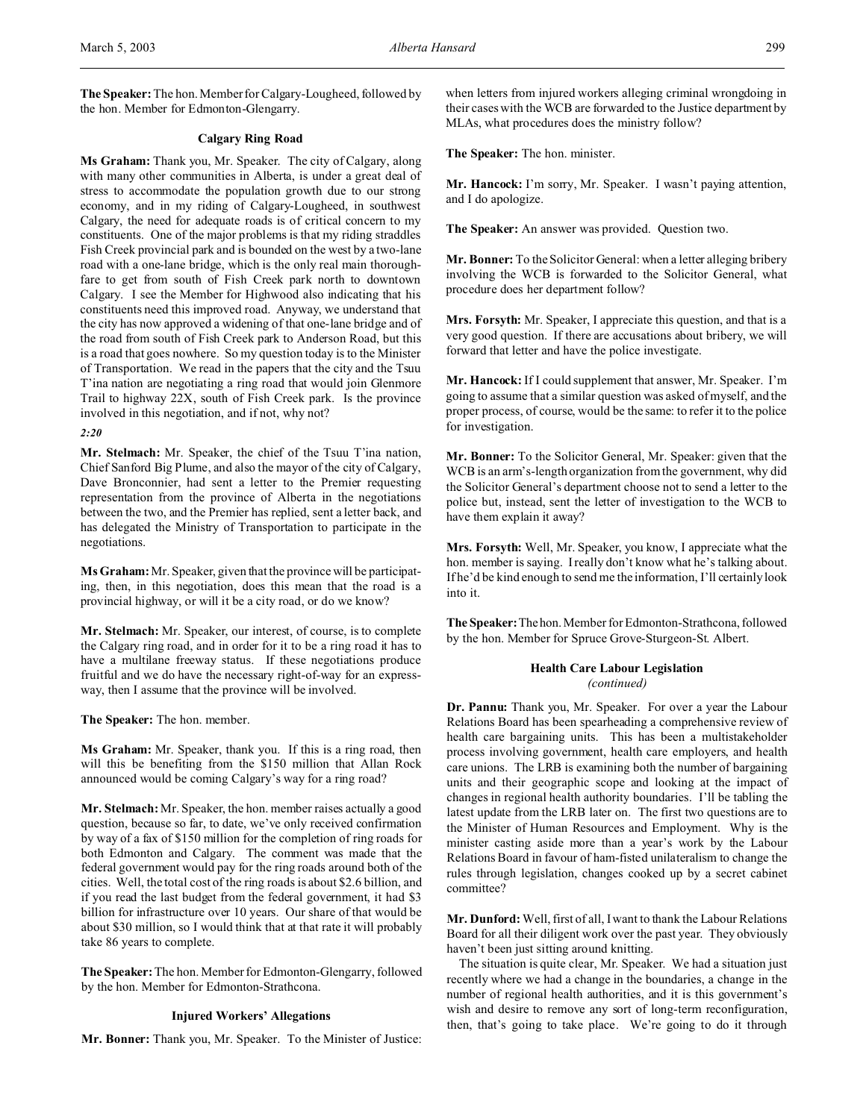**The Speaker:** The hon. Member for Calgary-Lougheed, followed by the hon. Member for Edmonton-Glengarry.

# **Calgary Ring Road**

**Ms Graham:** Thank you, Mr. Speaker. The city of Calgary, along with many other communities in Alberta, is under a great deal of stress to accommodate the population growth due to our strong economy, and in my riding of Calgary-Lougheed, in southwest Calgary, the need for adequate roads is of critical concern to my constituents. One of the major problems is that my riding straddles Fish Creek provincial park and is bounded on the west by a two-lane road with a one-lane bridge, which is the only real main thoroughfare to get from south of Fish Creek park north to downtown Calgary. I see the Member for Highwood also indicating that his constituents need this improved road. Anyway, we understand that the city has now approved a widening of that one-lane bridge and of the road from south of Fish Creek park to Anderson Road, but this is a road that goes nowhere. So my question today is to the Minister of Transportation. We read in the papers that the city and the Tsuu T'ina nation are negotiating a ring road that would join Glenmore Trail to highway 22X, south of Fish Creek park. Is the province involved in this negotiation, and if not, why not?

### *2:20*

**Mr. Stelmach:** Mr. Speaker, the chief of the Tsuu T'ina nation, Chief Sanford Big Plume, and also the mayor of the city of Calgary, Dave Bronconnier, had sent a letter to the Premier requesting representation from the province of Alberta in the negotiations between the two, and the Premier has replied, sent a letter back, and has delegated the Ministry of Transportation to participate in the negotiations.

**Ms Graham:** Mr. Speaker, given that the province will be participating, then, in this negotiation, does this mean that the road is a provincial highway, or will it be a city road, or do we know?

**Mr. Stelmach:** Mr. Speaker, our interest, of course, is to complete the Calgary ring road, and in order for it to be a ring road it has to have a multilane freeway status. If these negotiations produce fruitful and we do have the necessary right-of-way for an expressway, then I assume that the province will be involved.

**The Speaker:** The hon. member.

**Ms Graham:** Mr. Speaker, thank you. If this is a ring road, then will this be benefiting from the \$150 million that Allan Rock announced would be coming Calgary's way for a ring road?

**Mr. Stelmach:** Mr. Speaker, the hon. member raises actually a good question, because so far, to date, we've only received confirmation by way of a fax of \$150 million for the completion of ring roads for both Edmonton and Calgary. The comment was made that the federal government would pay for the ring roads around both of the cities. Well, the total cost of the ring roads is about \$2.6 billion, and if you read the last budget from the federal government, it had \$3 billion for infrastructure over 10 years. Our share of that would be about \$30 million, so I would think that at that rate it will probably take 86 years to complete.

**The Speaker:** The hon. Member for Edmonton-Glengarry, followed by the hon. Member for Edmonton-Strathcona.

## **Injured Workers' Allegations**

**Mr. Bonner:** Thank you, Mr. Speaker. To the Minister of Justice:

when letters from injured workers alleging criminal wrongdoing in their cases with the WCB are forwarded to the Justice department by MLAs, what procedures does the ministry follow?

**The Speaker:** The hon. minister.

**Mr. Hancock:** I'm sorry, Mr. Speaker. I wasn't paying attention, and I do apologize.

**The Speaker:** An answer was provided. Question two.

**Mr. Bonner:** To the Solicitor General: when a letter alleging bribery involving the WCB is forwarded to the Solicitor General, what procedure does her department follow?

**Mrs. Forsyth:** Mr. Speaker, I appreciate this question, and that is a very good question. If there are accusations about bribery, we will forward that letter and have the police investigate.

**Mr. Hancock:** If I could supplement that answer, Mr. Speaker. I'm going to assume that a similar question was asked of myself, and the proper process, of course, would be the same: to refer it to the police for investigation.

**Mr. Bonner:** To the Solicitor General, Mr. Speaker: given that the WCB is an arm's-length organization from the government, why did the Solicitor General's department choose not to send a letter to the police but, instead, sent the letter of investigation to the WCB to have them explain it away?

**Mrs. Forsyth:** Well, Mr. Speaker, you know, I appreciate what the hon. member is saying. I really don't know what he's talking about. If he'd be kind enough to send me the information, I'll certainly look into it.

**The Speaker:**Thehon.Member for Edmonton-Strathcona, followed by the hon. Member for Spruce Grove-Sturgeon-St. Albert.

# **Health Care Labour Legislation** *(continued)*

**Dr. Pannu:** Thank you, Mr. Speaker. For over a year the Labour Relations Board has been spearheading a comprehensive review of health care bargaining units. This has been a multistakeholder process involving government, health care employers, and health care unions. The LRB is examining both the number of bargaining units and their geographic scope and looking at the impact of changes in regional health authority boundaries. I'll be tabling the latest update from the LRB later on. The first two questions are to the Minister of Human Resources and Employment. Why is the minister casting aside more than a year's work by the Labour Relations Board in favour of ham-fisted unilateralism to change the rules through legislation, changes cooked up by a secret cabinet committee?

**Mr. Dunford:** Well, first of all, I want to thank the Labour Relations Board for all their diligent work over the past year. They obviously haven't been just sitting around knitting.

The situation is quite clear, Mr. Speaker. We had a situation just recently where we had a change in the boundaries, a change in the number of regional health authorities, and it is this government's wish and desire to remove any sort of long-term reconfiguration, then, that's going to take place. We're going to do it through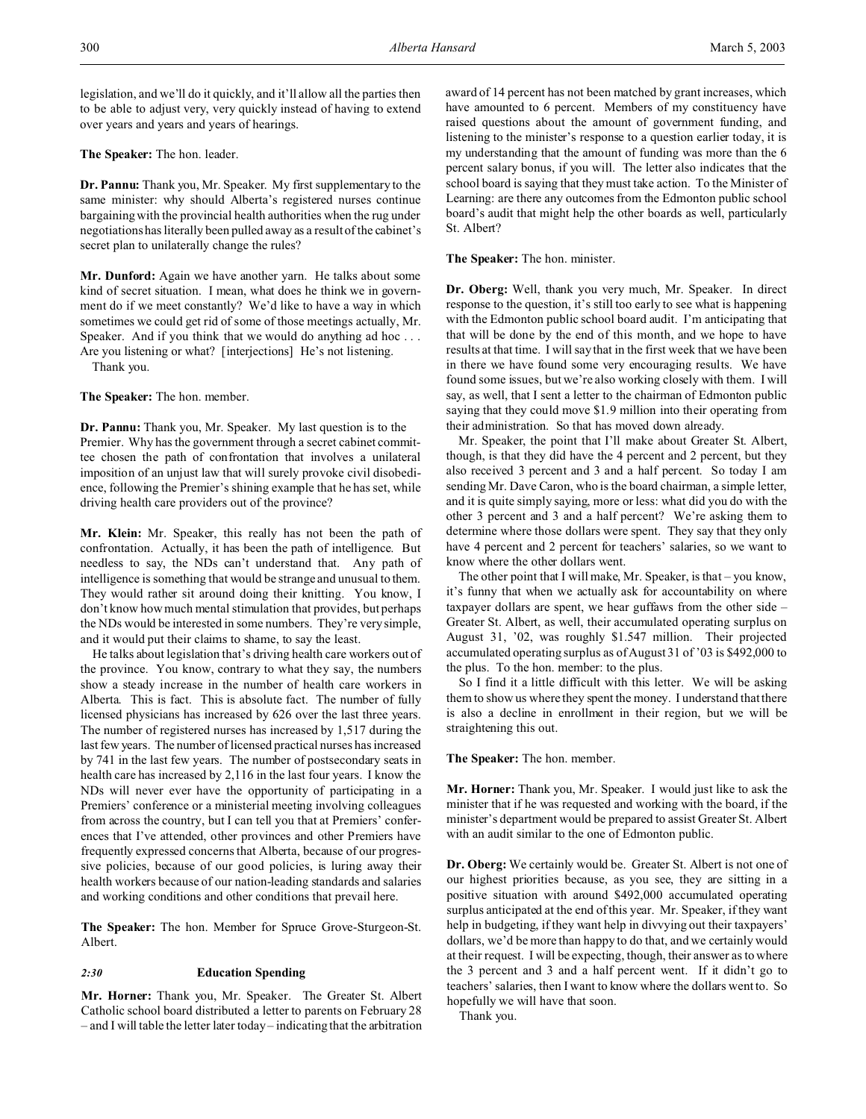**The Speaker:** The hon. leader.

**Dr. Pannu:** Thank you, Mr. Speaker. My first supplementary to the same minister: why should Alberta's registered nurses continue bargaining with the provincial health authorities when the rug under negotiations has literally been pulled away as a result of the cabinet's secret plan to unilaterally change the rules?

**Mr. Dunford:** Again we have another yarn. He talks about some kind of secret situation. I mean, what does he think we in government do if we meet constantly? We'd like to have a way in which sometimes we could get rid of some of those meetings actually, Mr. Speaker. And if you think that we would do anything ad hoc . . . Are you listening or what? [interjections] He's not listening.

Thank you.

**The Speaker:** The hon. member.

**Dr. Pannu:** Thank you, Mr. Speaker. My last question is to the Premier. Why has the government through a secret cabinet committee chosen the path of confrontation that involves a unilateral imposition of an unjust law that will surely provoke civil disobedience, following the Premier's shining example that he has set, while driving health care providers out of the province?

**Mr. Klein:** Mr. Speaker, this really has not been the path of confrontation. Actually, it has been the path of intelligence. But needless to say, the NDs can't understand that. Any path of intelligence is something that would be strange and unusual to them. They would rather sit around doing their knitting. You know, I don't know how much mental stimulation that provides, but perhaps the NDs would be interested in some numbers. They're very simple, and it would put their claims to shame, to say the least.

He talks about legislation that's driving health care workers out of the province. You know, contrary to what they say, the numbers show a steady increase in the number of health care workers in Alberta. This is fact. This is absolute fact. The number of fully licensed physicians has increased by 626 over the last three years. The number of registered nurses has increased by 1,517 during the last few years. The number of licensed practical nurses has increased by 741 in the last few years. The number of postsecondary seats in health care has increased by 2,116 in the last four years. I know the NDs will never ever have the opportunity of participating in a Premiers' conference or a ministerial meeting involving colleagues from across the country, but I can tell you that at Premiers' conferences that I've attended, other provinces and other Premiers have frequently expressed concerns that Alberta, because of our progressive policies, because of our good policies, is luring away their health workers because of our nation-leading standards and salaries and working conditions and other conditions that prevail here.

**The Speaker:** The hon. Member for Spruce Grove-Sturgeon-St. Albert.

### *2:30* **Education Spending**

**Mr. Horner:** Thank you, Mr. Speaker. The Greater St. Albert Catholic school board distributed a letter to parents on February 28 – and I will table the letter later today – indicating that the arbitration award of 14 percent has not been matched by grant increases, which have amounted to 6 percent. Members of my constituency have raised questions about the amount of government funding, and listening to the minister's response to a question earlier today, it is my understanding that the amount of funding was more than the 6 percent salary bonus, if you will. The letter also indicates that the school board is saying that they must take action. To the Minister of Learning: are there any outcomes from the Edmonton public school board's audit that might help the other boards as well, particularly St. Albert?

**The Speaker:** The hon. minister.

**Dr. Oberg:** Well, thank you very much, Mr. Speaker. In direct response to the question, it's still too early to see what is happening with the Edmonton public school board audit. I'm anticipating that that will be done by the end of this month, and we hope to have results at that time. I will say that in the first week that we have been in there we have found some very encouraging results. We have found some issues, but we're also working closely with them. I will say, as well, that I sent a letter to the chairman of Edmonton public saying that they could move \$1.9 million into their operating from their administration. So that has moved down already.

Mr. Speaker, the point that I'll make about Greater St. Albert, though, is that they did have the 4 percent and 2 percent, but they also received 3 percent and 3 and a half percent. So today I am sending Mr. Dave Caron, who is the board chairman, a simple letter, and it is quite simply saying, more or less: what did you do with the other 3 percent and 3 and a half percent? We're asking them to determine where those dollars were spent. They say that they only have 4 percent and 2 percent for teachers' salaries, so we want to know where the other dollars went.

The other point that I will make, Mr. Speaker, is that – you know, it's funny that when we actually ask for accountability on where taxpayer dollars are spent, we hear guffaws from the other side – Greater St. Albert, as well, their accumulated operating surplus on August 31, '02, was roughly \$1.547 million. Their projected accumulated operating surplus as of August 31 of '03 is \$492,000 to the plus. To the hon. member: to the plus.

So I find it a little difficult with this letter. We will be asking them to show us where they spent the money. I understand that there is also a decline in enrollment in their region, but we will be straightening this out.

**The Speaker:** The hon. member.

**Mr. Horner:** Thank you, Mr. Speaker. I would just like to ask the minister that if he was requested and working with the board, if the minister's department would be prepared to assist Greater St. Albert with an audit similar to the one of Edmonton public.

**Dr. Oberg:** We certainly would be. Greater St. Albert is not one of our highest priorities because, as you see, they are sitting in a positive situation with around \$492,000 accumulated operating surplus anticipated at the end of this year. Mr. Speaker, if they want help in budgeting, if they want help in divvying out their taxpayers' dollars, we'd be more than happy to do that, and we certainly would at their request. I will be expecting, though, their answer as to where the 3 percent and 3 and a half percent went. If it didn't go to teachers' salaries, then I want to know where the dollars went to. So hopefully we will have that soon.

Thank you.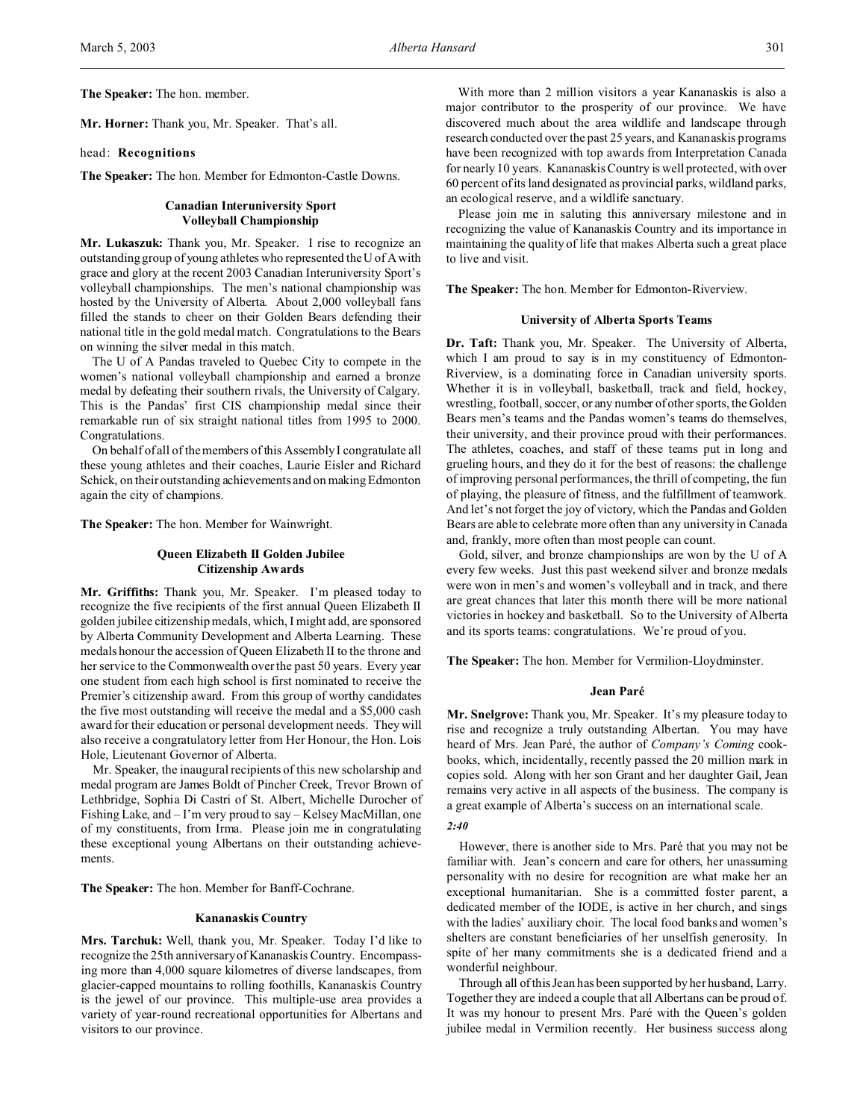**The Speaker:** The hon. member.

**Mr. Horner:** Thank you, Mr. Speaker. That's all.

### head: **Recognitions**

**The Speaker:** The hon. Member for Edmonton-Castle Downs.

## **Canadian Interuniversity Sport Volleyball Championship**

**Mr. Lukaszuk:** Thank you, Mr. Speaker. I rise to recognize an outstanding group of young athletes who represented the U of A with grace and glory at the recent 2003 Canadian Interuniversity Sport's volleyball championships. The men's national championship was hosted by the University of Alberta. About 2,000 volleyball fans filled the stands to cheer on their Golden Bears defending their national title in the gold medal match. Congratulations to the Bears on winning the silver medal in this match.

The U of A Pandas traveled to Quebec City to compete in the women's national volleyball championship and earned a bronze medal by defeating their southern rivals, the University of Calgary. This is the Pandas' first CIS championship medal since their remarkable run of six straight national titles from 1995 to 2000. Congratulations.

On behalf of all of the members of this Assembly I congratulate all these young athletes and their coaches, Laurie Eisler and Richard Schick, on their outstanding achievements and on making Edmonton again the city of champions.

**The Speaker:** The hon. Member for Wainwright.

#### **Queen Elizabeth II Golden Jubilee Citizenship Awards**

**Mr. Griffiths:** Thank you, Mr. Speaker. I'm pleased today to recognize the five recipients of the first annual Queen Elizabeth II golden jubilee citizenship medals, which, I might add, are sponsored by Alberta Community Development and Alberta Learning. These medals honour the accession of Queen Elizabeth II to the throne and her service to the Commonwealth over the past 50 years. Every year one student from each high school is first nominated to receive the Premier's citizenship award. From this group of worthy candidates the five most outstanding will receive the medal and a \$5,000 cash award for their education or personal development needs. They will also receive a congratulatory letter from Her Honour, the Hon. Lois Hole, Lieutenant Governor of Alberta.

Mr. Speaker, the inaugural recipients of this new scholarship and medal program are James Boldt of Pincher Creek, Trevor Brown of Lethbridge, Sophia Di Castri of St. Albert, Michelle Durocher of Fishing Lake, and – I'm very proud to say – Kelsey MacMillan, one of my constituents, from Irma. Please join me in congratulating these exceptional young Albertans on their outstanding achievements.

**The Speaker:** The hon. Member for Banff-Cochrane.

### **Kananaskis Country**

**Mrs. Tarchuk:** Well, thank you, Mr. Speaker. Today I'd like to recognize the 25th anniversary of Kananaskis Country. Encompassing more than 4,000 square kilometres of diverse landscapes, from glacier-capped mountains to rolling foothills, Kananaskis Country is the jewel of our province. This multiple-use area provides a variety of year-round recreational opportunities for Albertans and visitors to our province.

With more than 2 million visitors a year Kananaskis is also a major contributor to the prosperity of our province. We have discovered much about the area wildlife and landscape through research conducted over the past 25 years, and Kananaskis programs have been recognized with top awards from Interpretation Canada for nearly 10 years. Kananaskis Country is well protected, with over 60 percent of its land designated as provincial parks, wildland parks, an ecological reserve, and a wildlife sanctuary.

Please join me in saluting this anniversary milestone and in recognizing the value of Kananaskis Country and its importance in maintaining the quality of life that makes Alberta such a great place to live and visit.

**The Speaker:** The hon. Member for Edmonton-Riverview.

#### **University of Alberta Sports Teams**

**Dr. Taft:** Thank you, Mr. Speaker. The University of Alberta, which I am proud to say is in my constituency of Edmonton-Riverview, is a dominating force in Canadian university sports. Whether it is in volleyball, basketball, track and field, hockey, wrestling, football, soccer, or any number of other sports, the Golden Bears men's teams and the Pandas women's teams do themselves, their university, and their province proud with their performances. The athletes, coaches, and staff of these teams put in long and grueling hours, and they do it for the best of reasons: the challenge of improving personal performances, the thrill of competing, the fun of playing, the pleasure of fitness, and the fulfillment of teamwork. And let's not forget the joy of victory, which the Pandas and Golden Bears are able to celebrate more often than any university in Canada and, frankly, more often than most people can count.

Gold, silver, and bronze championships are won by the U of A every few weeks. Just this past weekend silver and bronze medals were won in men's and women's volleyball and in track, and there are great chances that later this month there will be more national victories in hockey and basketball. So to the University of Alberta and its sports teams: congratulations. We're proud of you.

**The Speaker:** The hon. Member for Vermilion-Lloydminster.

# **Jean Paré**

**Mr. Snelgrove:** Thank you, Mr. Speaker. It's my pleasure today to rise and recognize a truly outstanding Albertan. You may have heard of Mrs. Jean Paré, the author of *Company's Coming* cookbooks, which, incidentally, recently passed the 20 million mark in copies sold. Along with her son Grant and her daughter Gail, Jean remains very active in all aspects of the business. The company is a great example of Alberta's success on an international scale.

#### *2:40*

However, there is another side to Mrs. Paré that you may not be familiar with. Jean's concern and care for others, her unassuming personality with no desire for recognition are what make her an exceptional humanitarian. She is a committed foster parent, a dedicated member of the IODE, is active in her church, and sings with the ladies' auxiliary choir. The local food banks and women's shelters are constant beneficiaries of her unselfish generosity. In spite of her many commitments she is a dedicated friend and a wonderful neighbour.

Through all of this Jean has been supported by her husband, Larry. Together they are indeed a couple that all Albertans can be proud of. It was my honour to present Mrs. Paré with the Queen's golden jubilee medal in Vermilion recently. Her business success along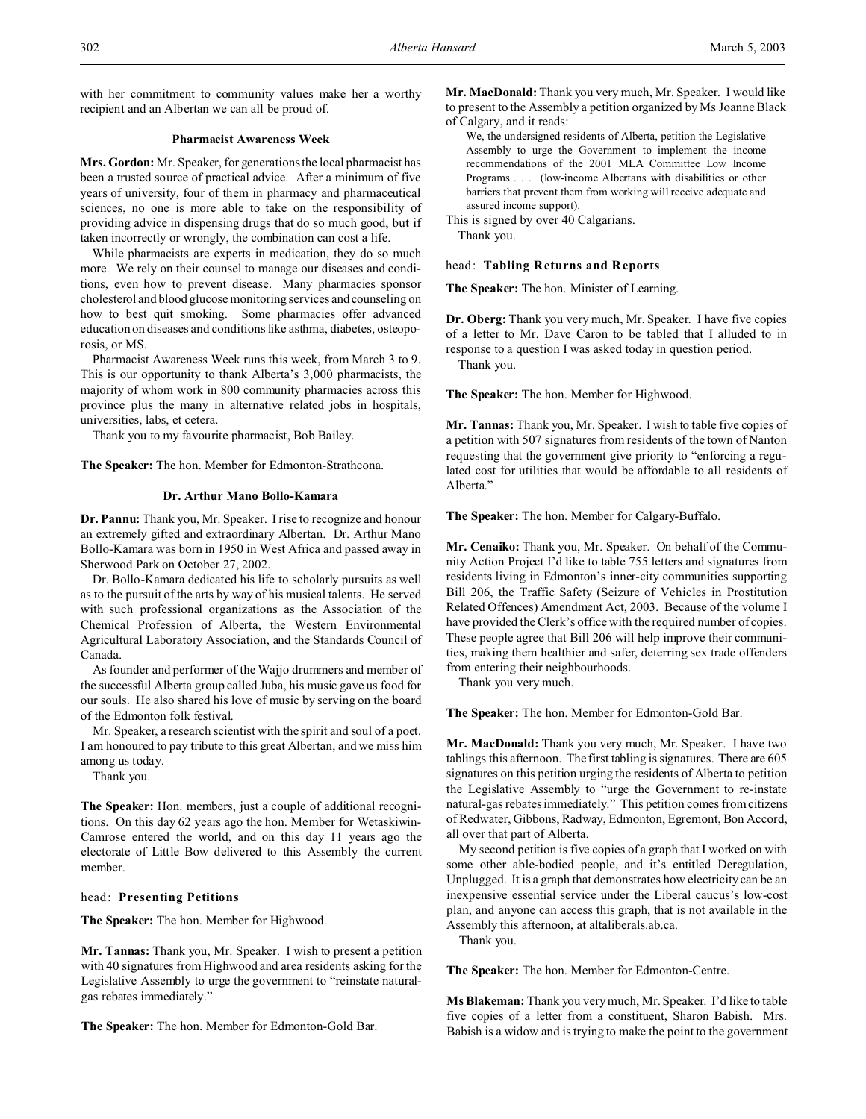with her commitment to community values make her a worthy recipient and an Albertan we can all be proud of.

# **Pharmacist Awareness Week**

**Mrs. Gordon:** Mr. Speaker, for generations the local pharmacist has been a trusted source of practical advice. After a minimum of five years of university, four of them in pharmacy and pharmaceutical sciences, no one is more able to take on the responsibility of providing advice in dispensing drugs that do so much good, but if taken incorrectly or wrongly, the combination can cost a life.

While pharmacists are experts in medication, they do so much more. We rely on their counsel to manage our diseases and conditions, even how to prevent disease. Many pharmacies sponsor cholesterol and blood glucose monitoring services and counseling on how to best quit smoking. Some pharmacies offer advanced education on diseases and conditions like asthma, diabetes, osteoporosis, or MS.

Pharmacist Awareness Week runs this week, from March 3 to 9. This is our opportunity to thank Alberta's 3,000 pharmacists, the majority of whom work in 800 community pharmacies across this province plus the many in alternative related jobs in hospitals, universities, labs, et cetera.

Thank you to my favourite pharmacist, Bob Bailey.

**The Speaker:** The hon. Member for Edmonton-Strathcona.

# **Dr. Arthur Mano Bollo-Kamara**

**Dr. Pannu:** Thank you, Mr. Speaker. I rise to recognize and honour an extremely gifted and extraordinary Albertan. Dr. Arthur Mano Bollo-Kamara was born in 1950 in West Africa and passed away in Sherwood Park on October 27, 2002.

Dr. Bollo-Kamara dedicated his life to scholarly pursuits as well as to the pursuit of the arts by way of his musical talents. He served with such professional organizations as the Association of the Chemical Profession of Alberta, the Western Environmental Agricultural Laboratory Association, and the Standards Council of Canada.

As founder and performer of the Wajjo drummers and member of the successful Alberta group called Juba, his music gave us food for our souls. He also shared his love of music by serving on the board of the Edmonton folk festival.

Mr. Speaker, a research scientist with the spirit and soul of a poet. I am honoured to pay tribute to this great Albertan, and we miss him among us today.

Thank you.

**The Speaker:** Hon. members, just a couple of additional recognitions. On this day 62 years ago the hon. Member for Wetaskiwin-Camrose entered the world, and on this day 11 years ago the electorate of Little Bow delivered to this Assembly the current member.

#### head: **Presenting Petitions**

**The Speaker:** The hon. Member for Highwood.

**Mr. Tannas:** Thank you, Mr. Speaker. I wish to present a petition with 40 signatures from Highwood and area residents asking for the Legislative Assembly to urge the government to "reinstate naturalgas rebates immediately."

**The Speaker:** The hon. Member for Edmonton-Gold Bar.

**Mr. MacDonald:** Thank you very much, Mr. Speaker. I would like to present to the Assembly a petition organized by Ms Joanne Black of Calgary, and it reads:

We, the undersigned residents of Alberta, petition the Legislative Assembly to urge the Government to implement the income recommendations of the 2001 MLA Committee Low Income Programs . . . (low-income Albertans with disabilities or other barriers that prevent them from working will receive adequate and assured income support).

This is signed by over 40 Calgarians. Thank you.

#### head: **Tabling Returns and Reports**

**The Speaker:** The hon. Minister of Learning.

**Dr. Oberg:** Thank you very much, Mr. Speaker. I have five copies of a letter to Mr. Dave Caron to be tabled that I alluded to in response to a question I was asked today in question period. Thank you.

**The Speaker:** The hon. Member for Highwood.

**Mr. Tannas:** Thank you, Mr. Speaker. I wish to table five copies of a petition with 507 signatures from residents of the town of Nanton requesting that the government give priority to "enforcing a regulated cost for utilities that would be affordable to all residents of Alberta."

**The Speaker:** The hon. Member for Calgary-Buffalo.

**Mr. Cenaiko:** Thank you, Mr. Speaker. On behalf of the Community Action Project I'd like to table 755 letters and signatures from residents living in Edmonton's inner-city communities supporting Bill 206, the Traffic Safety (Seizure of Vehicles in Prostitution Related Offences) Amendment Act, 2003. Because of the volume I have provided the Clerk's office with the required number of copies. These people agree that Bill 206 will help improve their communities, making them healthier and safer, deterring sex trade offenders from entering their neighbourhoods.

Thank you very much.

**The Speaker:** The hon. Member for Edmonton-Gold Bar.

**Mr. MacDonald:** Thank you very much, Mr. Speaker. I have two tablings this afternoon. The first tabling is signatures. There are 605 signatures on this petition urging the residents of Alberta to petition the Legislative Assembly to "urge the Government to re-instate natural-gas rebates immediately." This petition comes from citizens of Redwater, Gibbons, Radway, Edmonton, Egremont, Bon Accord, all over that part of Alberta.

My second petition is five copies of a graph that I worked on with some other able-bodied people, and it's entitled Deregulation, Unplugged. It is a graph that demonstrates how electricity can be an inexpensive essential service under the Liberal caucus's low-cost plan, and anyone can access this graph, that is not available in the Assembly this afternoon, at altaliberals.ab.ca.

Thank you.

**The Speaker:** The hon. Member for Edmonton-Centre.

**Ms Blakeman:** Thank you very much, Mr. Speaker. I'd like to table five copies of a letter from a constituent, Sharon Babish. Mrs. Babish is a widow and is trying to make the point to the government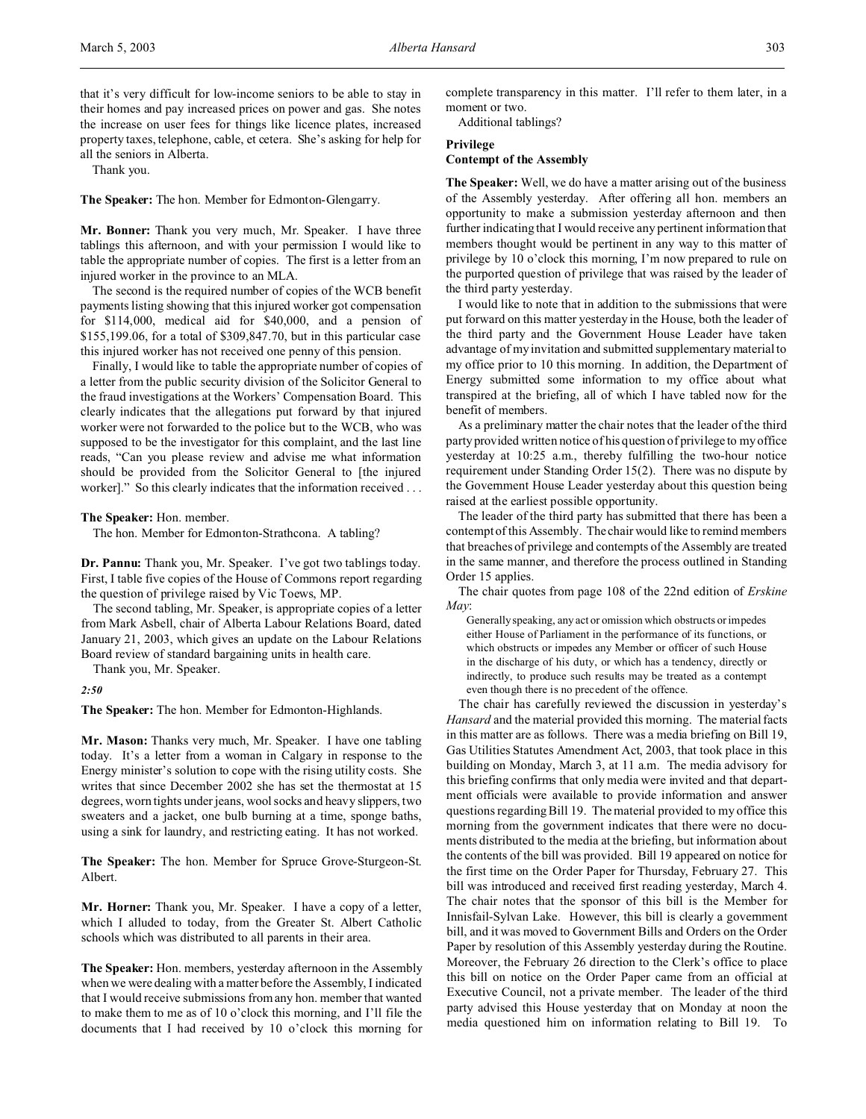that it's very difficult for low-income seniors to be able to stay in their homes and pay increased prices on power and gas. She notes the increase on user fees for things like licence plates, increased property taxes, telephone, cable, et cetera. She's asking for help for all the seniors in Alberta.

Thank you.

**The Speaker:** The hon. Member for Edmonton-Glengarry.

**Mr. Bonner:** Thank you very much, Mr. Speaker. I have three tablings this afternoon, and with your permission I would like to table the appropriate number of copies. The first is a letter from an injured worker in the province to an MLA.

The second is the required number of copies of the WCB benefit payments listing showing that this injured worker got compensation for \$114,000, medical aid for \$40,000, and a pension of \$155,199.06, for a total of \$309,847.70, but in this particular case this injured worker has not received one penny of this pension.

Finally, I would like to table the appropriate number of copies of a letter from the public security division of the Solicitor General to the fraud investigations at the Workers' Compensation Board. This clearly indicates that the allegations put forward by that injured worker were not forwarded to the police but to the WCB, who was supposed to be the investigator for this complaint, and the last line reads, "Can you please review and advise me what information should be provided from the Solicitor General to [the injured worker]." So this clearly indicates that the information received . . .

**The Speaker:** Hon. member.

The hon. Member for Edmonton-Strathcona. A tabling?

**Dr. Pannu:** Thank you, Mr. Speaker. I've got two tablings today. First, I table five copies of the House of Commons report regarding the question of privilege raised by Vic Toews, MP.

The second tabling, Mr. Speaker, is appropriate copies of a letter from Mark Asbell, chair of Alberta Labour Relations Board, dated January 21, 2003, which gives an update on the Labour Relations Board review of standard bargaining units in health care.

Thank you, Mr. Speaker.

*2:50*

**The Speaker:** The hon. Member for Edmonton-Highlands.

**Mr. Mason:** Thanks very much, Mr. Speaker. I have one tabling today. It's a letter from a woman in Calgary in response to the Energy minister's solution to cope with the rising utility costs. She writes that since December 2002 she has set the thermostat at 15 degrees, worn tights under jeans, wool socks and heavy slippers, two sweaters and a jacket, one bulb burning at a time, sponge baths, using a sink for laundry, and restricting eating. It has not worked.

**The Speaker:** The hon. Member for Spruce Grove-Sturgeon-St. Albert.

**Mr. Horner:** Thank you, Mr. Speaker. I have a copy of a letter, which I alluded to today, from the Greater St. Albert Catholic schools which was distributed to all parents in their area.

**The Speaker:** Hon. members, yesterday afternoon in the Assembly when we were dealing with a matter before the Assembly, I indicated that I would receive submissions from any hon. member that wanted to make them to me as of 10 o'clock this morning, and I'll file the documents that I had received by 10 o'clock this morning for complete transparency in this matter. I'll refer to them later, in a moment or two.

Additional tablings?

### **Privilege**

# **Contempt of the Assembly**

**The Speaker:** Well, we do have a matter arising out of the business of the Assembly yesterday. After offering all hon. members an opportunity to make a submission yesterday afternoon and then further indicating that I would receive any pertinent information that members thought would be pertinent in any way to this matter of privilege by 10 o'clock this morning, I'm now prepared to rule on the purported question of privilege that was raised by the leader of the third party yesterday.

I would like to note that in addition to the submissions that were put forward on this matter yesterday in the House, both the leader of the third party and the Government House Leader have taken advantage of my invitation and submitted supplementary material to my office prior to 10 this morning. In addition, the Department of Energy submitted some information to my office about what transpired at the briefing, all of which I have tabled now for the benefit of members.

As a preliminary matter the chair notes that the leader of the third party provided written notice of his question of privilege to my office yesterday at 10:25 a.m., thereby fulfilling the two-hour notice requirement under Standing Order 15(2). There was no dispute by the Government House Leader yesterday about this question being raised at the earliest possible opportunity.

The leader of the third party has submitted that there has been a contempt of this Assembly. The chair would like to remind members that breaches of privilege and contempts of the Assembly are treated in the same manner, and therefore the process outlined in Standing Order 15 applies.

The chair quotes from page 108 of the 22nd edition of *Erskine May*:

Generally speaking, any act or omission which obstructs or impedes either House of Parliament in the performance of its functions, or which obstructs or impedes any Member or officer of such House in the discharge of his duty, or which has a tendency, directly or indirectly, to produce such results may be treated as a contempt even though there is no precedent of the offence.

The chair has carefully reviewed the discussion in yesterday's *Hansard* and the material provided this morning. The material facts in this matter are as follows. There was a media briefing on Bill 19, Gas Utilities Statutes Amendment Act, 2003, that took place in this building on Monday, March 3, at 11 a.m. The media advisory for this briefing confirms that only media were invited and that department officials were available to provide information and answer questions regarding Bill 19. The material provided to my office this morning from the government indicates that there were no documents distributed to the media at the briefing, but information about the contents of the bill was provided. Bill 19 appeared on notice for the first time on the Order Paper for Thursday, February 27. This bill was introduced and received first reading yesterday, March 4. The chair notes that the sponsor of this bill is the Member for Innisfail-Sylvan Lake. However, this bill is clearly a government bill, and it was moved to Government Bills and Orders on the Order Paper by resolution of this Assembly yesterday during the Routine. Moreover, the February 26 direction to the Clerk's office to place this bill on notice on the Order Paper came from an official at Executive Council, not a private member. The leader of the third party advised this House yesterday that on Monday at noon the media questioned him on information relating to Bill 19. To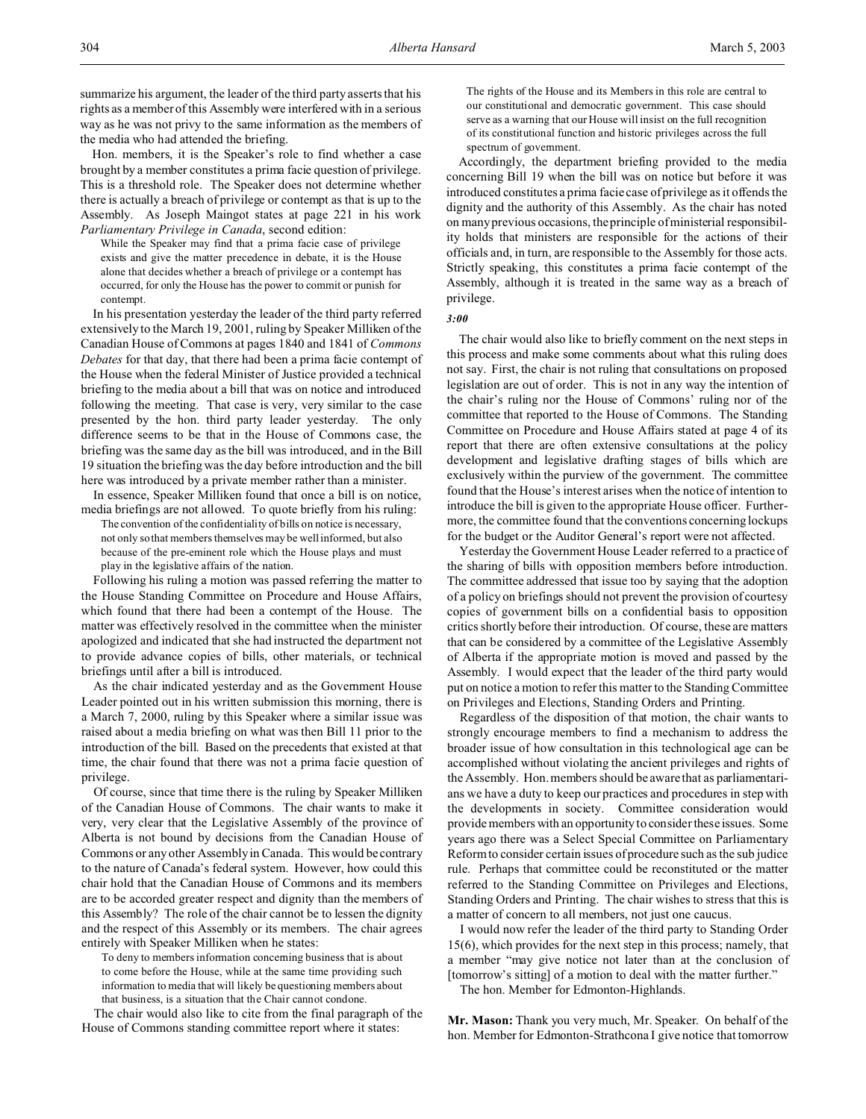summarize his argument, the leader of the third party asserts that his rights as a member of this Assembly were interfered with in a serious way as he was not privy to the same information as the members of the media who had attended the briefing.

Hon. members, it is the Speaker's role to find whether a case brought by a member constitutes a prima facie question of privilege. This is a threshold role. The Speaker does not determine whether there is actually a breach of privilege or contempt as that is up to the Assembly. As Joseph Maingot states at page 221 in his work *Parliamentary Privilege in Canada*, second edition:

While the Speaker may find that a prima facie case of privilege exists and give the matter precedence in debate, it is the House alone that decides whether a breach of privilege or a contempt has occurred, for only the House has the power to commit or punish for contempt.

In his presentation yesterday the leader of the third party referred extensively to the March 19, 2001, ruling by Speaker Milliken of the Canadian House of Commons at pages 1840 and 1841 of *Commons Debates* for that day, that there had been a prima facie contempt of the House when the federal Minister of Justice provided a technical briefing to the media about a bill that was on notice and introduced following the meeting. That case is very, very similar to the case presented by the hon. third party leader yesterday. The only difference seems to be that in the House of Commons case, the briefing was the same day as the bill was introduced, and in the Bill 19 situation the briefing was the day before introduction and the bill here was introduced by a private member rather than a minister.

In essence, Speaker Milliken found that once a bill is on notice, media briefings are not allowed. To quote briefly from his ruling:

The convention of the confidentiality of bills on notice is necessary, not only so that members themselves may be well informed, but also because of the pre-eminent role which the House plays and must play in the legislative affairs of the nation.

Following his ruling a motion was passed referring the matter to the House Standing Committee on Procedure and House Affairs, which found that there had been a contempt of the House. The matter was effectively resolved in the committee when the minister apologized and indicated that she had instructed the department not to provide advance copies of bills, other materials, or technical briefings until after a bill is introduced.

As the chair indicated yesterday and as the Government House Leader pointed out in his written submission this morning, there is a March 7, 2000, ruling by this Speaker where a similar issue was raised about a media briefing on what was then Bill 11 prior to the introduction of the bill. Based on the precedents that existed at that time, the chair found that there was not a prima facie question of privilege.

Of course, since that time there is the ruling by Speaker Milliken of the Canadian House of Commons. The chair wants to make it very, very clear that the Legislative Assembly of the province of Alberta is not bound by decisions from the Canadian House of Commons or any other Assembly in Canada. This would be contrary to the nature of Canada's federal system. However, how could this chair hold that the Canadian House of Commons and its members are to be accorded greater respect and dignity than the members of this Assembly? The role of the chair cannot be to lessen the dignity and the respect of this Assembly or its members. The chair agrees entirely with Speaker Milliken when he states:

To deny to members information concerning business that is about to come before the House, while at the same time providing such information to media that will likely be questioning members about that business, is a situation that the Chair cannot condone.

The chair would also like to cite from the final paragraph of the House of Commons standing committee report where it states:

The rights of the House and its Members in this role are central to our constitutional and democratic government. This case should serve as a warning that our House will insist on the full recognition of its constitutional function and historic privileges across the full spectrum of government.

Accordingly, the department briefing provided to the media concerning Bill 19 when the bill was on notice but before it was introduced constitutes a prima facie case of privilege as it offends the dignity and the authority of this Assembly. As the chair has noted on many previous occasions, the principle of ministerial responsibility holds that ministers are responsible for the actions of their officials and, in turn, are responsible to the Assembly for those acts. Strictly speaking, this constitutes a prima facie contempt of the Assembly, although it is treated in the same way as a breach of privilege.

*3:00*

The chair would also like to briefly comment on the next steps in this process and make some comments about what this ruling does not say. First, the chair is not ruling that consultations on proposed legislation are out of order. This is not in any way the intention of the chair's ruling nor the House of Commons' ruling nor of the committee that reported to the House of Commons. The Standing Committee on Procedure and House Affairs stated at page 4 of its report that there are often extensive consultations at the policy development and legislative drafting stages of bills which are exclusively within the purview of the government. The committee found that the House's interest arises when the notice of intention to introduce the bill is given to the appropriate House officer. Furthermore, the committee found that the conventions concerning lockups for the budget or the Auditor General's report were not affected.

Yesterday the Government House Leader referred to a practice of the sharing of bills with opposition members before introduction. The committee addressed that issue too by saying that the adoption of a policy on briefings should not prevent the provision of courtesy copies of government bills on a confidential basis to opposition critics shortly before their introduction. Of course, these are matters that can be considered by a committee of the Legislative Assembly of Alberta if the appropriate motion is moved and passed by the Assembly. I would expect that the leader of the third party would put on notice a motion to refer this matter to the Standing Committee on Privileges and Elections, Standing Orders and Printing.

Regardless of the disposition of that motion, the chair wants to strongly encourage members to find a mechanism to address the broader issue of how consultation in this technological age can be accomplished without violating the ancient privileges and rights of the Assembly. Hon. members should be aware that as parliamentarians we have a duty to keep our practices and procedures in step with the developments in society. Committee consideration would provide members with an opportunity to consider these issues. Some years ago there was a Select Special Committee on Parliamentary Reform to consider certain issues of procedure such as the sub judice rule. Perhaps that committee could be reconstituted or the matter referred to the Standing Committee on Privileges and Elections, Standing Orders and Printing. The chair wishes to stress that this is a matter of concern to all members, not just one caucus.

I would now refer the leader of the third party to Standing Order 15(6), which provides for the next step in this process; namely, that a member "may give notice not later than at the conclusion of [tomorrow's sitting] of a motion to deal with the matter further."

The hon. Member for Edmonton-Highlands.

**Mr. Mason:** Thank you very much, Mr. Speaker. On behalf of the hon. Member for Edmonton-Strathcona I give notice that tomorrow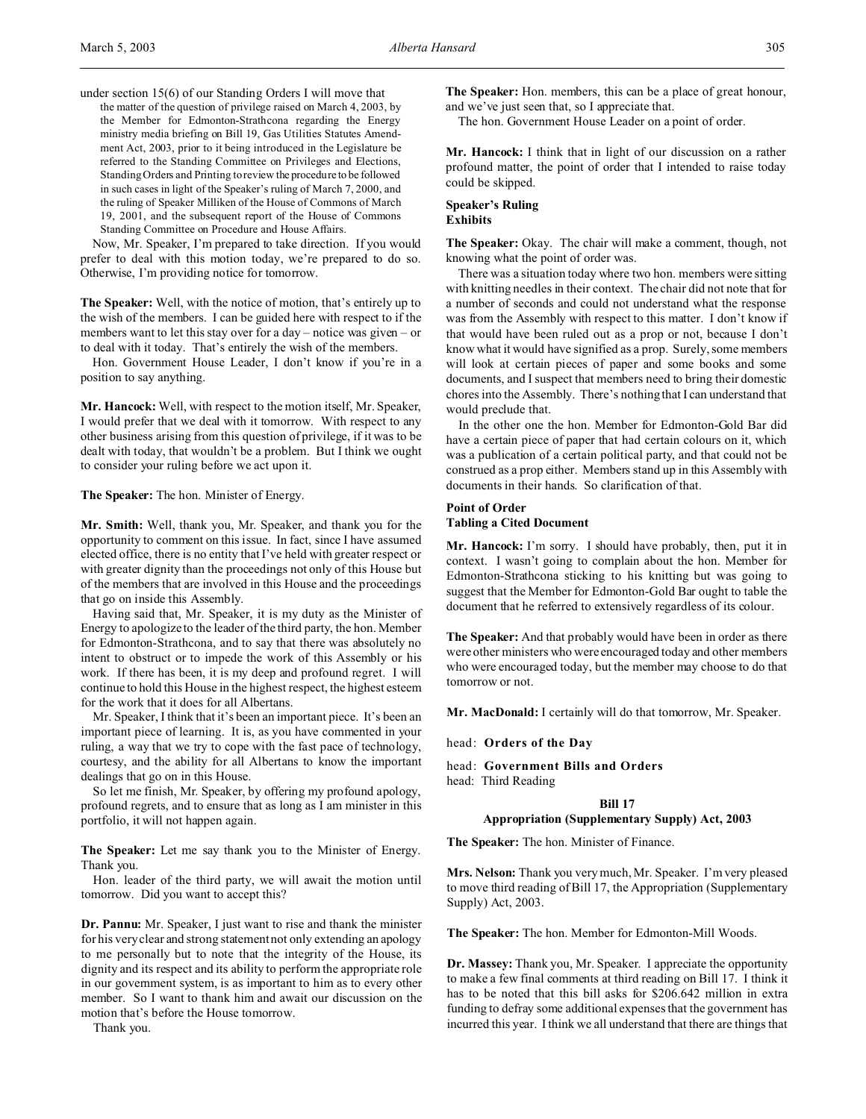under section 15(6) of our Standing Orders I will move that

the matter of the question of privilege raised on March 4, 2003, by the Member for Edmonton-Strathcona regarding the Energy ministry media briefing on Bill 19, Gas Utilities Statutes Amendment Act, 2003, prior to it being introduced in the Legislature be referred to the Standing Committee on Privileges and Elections, Standing Orders and Printing to review the procedure to be followed in such cases in light of the Speaker's ruling of March 7, 2000, and the ruling of Speaker Milliken of the House of Commons of March 19, 2001, and the subsequent report of the House of Commons Standing Committee on Procedure and House Affairs.

Now, Mr. Speaker, I'm prepared to take direction. If you would prefer to deal with this motion today, we're prepared to do so. Otherwise, I'm providing notice for tomorrow.

**The Speaker:** Well, with the notice of motion, that's entirely up to the wish of the members. I can be guided here with respect to if the members want to let this stay over for a day – notice was given – or to deal with it today. That's entirely the wish of the members.

Hon. Government House Leader, I don't know if you're in a position to say anything.

**Mr. Hancock:** Well, with respect to the motion itself, Mr. Speaker, I would prefer that we deal with it tomorrow. With respect to any other business arising from this question of privilege, if it was to be dealt with today, that wouldn't be a problem. But I think we ought to consider your ruling before we act upon it.

**The Speaker:** The hon. Minister of Energy.

**Mr. Smith:** Well, thank you, Mr. Speaker, and thank you for the opportunity to comment on this issue. In fact, since I have assumed elected office, there is no entity that I've held with greater respect or with greater dignity than the proceedings not only of this House but of the members that are involved in this House and the proceedings that go on inside this Assembly.

Having said that, Mr. Speaker, it is my duty as the Minister of Energy to apologize to the leader of the third party, the hon. Member for Edmonton-Strathcona, and to say that there was absolutely no intent to obstruct or to impede the work of this Assembly or his work. If there has been, it is my deep and profound regret. I will continue to hold this House in the highest respect, the highest esteem for the work that it does for all Albertans.

Mr. Speaker, I think that it's been an important piece. It's been an important piece of learning. It is, as you have commented in your ruling, a way that we try to cope with the fast pace of technology, courtesy, and the ability for all Albertans to know the important dealings that go on in this House.

So let me finish, Mr. Speaker, by offering my profound apology, profound regrets, and to ensure that as long as I am minister in this portfolio, it will not happen again.

**The Speaker:** Let me say thank you to the Minister of Energy. Thank you.

Hon. leader of the third party, we will await the motion until tomorrow. Did you want to accept this?

**Dr. Pannu:** Mr. Speaker, I just want to rise and thank the minister for his very clear and strong statement not only extending an apology to me personally but to note that the integrity of the House, its dignity and its respect and its ability to perform the appropriate role in our government system, is as important to him as to every other member. So I want to thank him and await our discussion on the motion that's before the House tomorrow.

Thank you.

**The Speaker:** Hon. members, this can be a place of great honour, and we've just seen that, so I appreciate that.

The hon. Government House Leader on a point of order.

**Mr. Hancock:** I think that in light of our discussion on a rather profound matter, the point of order that I intended to raise today could be skipped.

### **Speaker's Ruling Exhibits**

The Speaker: Okay. The chair will make a comment, though, not knowing what the point of order was.

There was a situation today where two hon. members were sitting with knitting needles in their context. The chair did not note that for a number of seconds and could not understand what the response was from the Assembly with respect to this matter. I don't know if that would have been ruled out as a prop or not, because I don't know what it would have signified as a prop. Surely, some members will look at certain pieces of paper and some books and some documents, and I suspect that members need to bring their domestic chores into the Assembly. There's nothing that I can understand that would preclude that.

In the other one the hon. Member for Edmonton-Gold Bar did have a certain piece of paper that had certain colours on it, which was a publication of a certain political party, and that could not be construed as a prop either. Members stand up in this Assembly with documents in their hands. So clarification of that.

### **Point of Order Tabling a Cited Document**

**Mr. Hancock:** I'm sorry. I should have probably, then, put it in context. I wasn't going to complain about the hon. Member for Edmonton-Strathcona sticking to his knitting but was going to suggest that the Member for Edmonton-Gold Bar ought to table the document that he referred to extensively regardless of its colour.

**The Speaker:** And that probably would have been in order as there were other ministers who were encouraged today and other members who were encouraged today, but the member may choose to do that tomorrow or not.

**Mr. MacDonald:** I certainly will do that tomorrow, Mr. Speaker.

head: **Orders of the Day**

head: **Government Bills and Orders**

head: Third Reading

### **Bill 17**

#### **Appropriation (Supplementary Supply) Act, 2003**

**The Speaker:** The hon. Minister of Finance.

**Mrs. Nelson:** Thank you very much, Mr. Speaker. I'm very pleased to move third reading of Bill 17, the Appropriation (Supplementary Supply) Act, 2003.

**The Speaker:** The hon. Member for Edmonton-Mill Woods.

**Dr. Massey:** Thank you, Mr. Speaker. I appreciate the opportunity to make a few final comments at third reading on Bill 17. I think it has to be noted that this bill asks for \$206.642 million in extra funding to defray some additional expenses that the government has incurred this year. I think we all understand that there are things that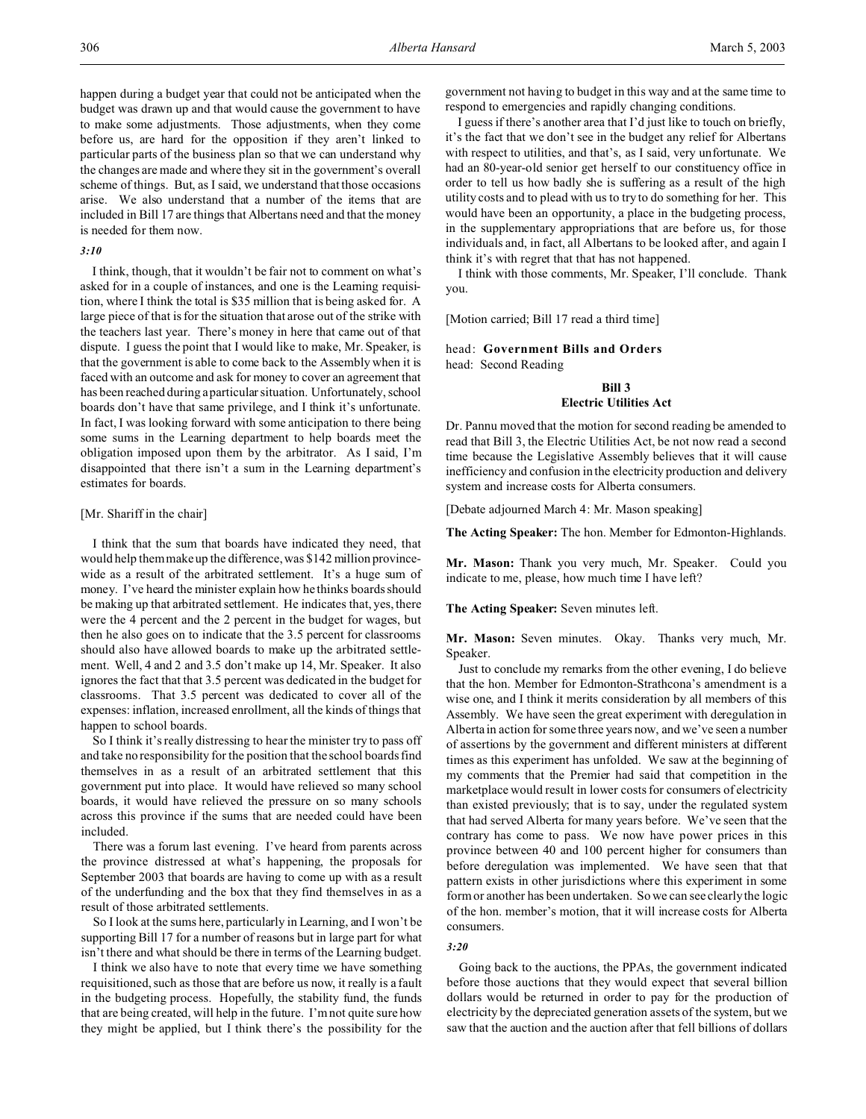happen during a budget year that could not be anticipated when the budget was drawn up and that would cause the government to have to make some adjustments. Those adjustments, when they come before us, are hard for the opposition if they aren't linked to particular parts of the business plan so that we can understand why the changes are made and where they sit in the government's overall scheme of things. But, as I said, we understand that those occasions arise. We also understand that a number of the items that are included in Bill 17 are things that Albertans need and that the money is needed for them now.

# *3:10*

I think, though, that it wouldn't be fair not to comment on what's asked for in a couple of instances, and one is the Learning requisition, where I think the total is \$35 million that is being asked for. A large piece of that is for the situation that arose out of the strike with the teachers last year. There's money in here that came out of that dispute. I guess the point that I would like to make, Mr. Speaker, is that the government is able to come back to the Assembly when it is faced with an outcome and ask for money to cover an agreement that has been reached during a particular situation. Unfortunately, school boards don't have that same privilege, and I think it's unfortunate. In fact, I was looking forward with some anticipation to there being some sums in the Learning department to help boards meet the obligation imposed upon them by the arbitrator. As I said, I'm disappointed that there isn't a sum in the Learning department's estimates for boards.

## [Mr. Shariff in the chair]

I think that the sum that boards have indicated they need, that would help them make up the difference, was \$142 million provincewide as a result of the arbitrated settlement. It's a huge sum of money. I've heard the minister explain how he thinks boards should be making up that arbitrated settlement. He indicates that, yes, there were the 4 percent and the 2 percent in the budget for wages, but then he also goes on to indicate that the 3.5 percent for classrooms should also have allowed boards to make up the arbitrated settlement. Well, 4 and 2 and 3.5 don't make up 14, Mr. Speaker. It also ignores the fact that that 3.5 percent was dedicated in the budget for classrooms. That 3.5 percent was dedicated to cover all of the expenses: inflation, increased enrollment, all the kinds of things that happen to school boards.

So I think it's really distressing to hear the minister try to pass off and take no responsibility for the position that the school boards find themselves in as a result of an arbitrated settlement that this government put into place. It would have relieved so many school boards, it would have relieved the pressure on so many schools across this province if the sums that are needed could have been included.

There was a forum last evening. I've heard from parents across the province distressed at what's happening, the proposals for September 2003 that boards are having to come up with as a result of the underfunding and the box that they find themselves in as a result of those arbitrated settlements.

So I look at the sums here, particularly in Learning, and I won't be supporting Bill 17 for a number of reasons but in large part for what isn't there and what should be there in terms of the Learning budget.

I think we also have to note that every time we have something requisitioned, such as those that are before us now, it really is a fault in the budgeting process. Hopefully, the stability fund, the funds that are being created, will help in the future. I'm not quite sure how they might be applied, but I think there's the possibility for the

government not having to budget in this way and at the same time to respond to emergencies and rapidly changing conditions.

I guess if there's another area that I'd just like to touch on briefly, it's the fact that we don't see in the budget any relief for Albertans with respect to utilities, and that's, as I said, very unfortunate. We had an 80-year-old senior get herself to our constituency office in order to tell us how badly she is suffering as a result of the high utility costs and to plead with us to try to do something for her. This would have been an opportunity, a place in the budgeting process, in the supplementary appropriations that are before us, for those individuals and, in fact, all Albertans to be looked after, and again I think it's with regret that that has not happened.

I think with those comments, Mr. Speaker, I'll conclude. Thank you.

[Motion carried; Bill 17 read a third time]

# head: **Government Bills and Orders** head: Second Reading

## **Bill 3 Electric Utilities Act**

Dr. Pannu moved that the motion for second reading be amended to read that Bill 3, the Electric Utilities Act, be not now read a second time because the Legislative Assembly believes that it will cause inefficiency and confusion in the electricity production and delivery system and increase costs for Alberta consumers.

[Debate adjourned March 4: Mr. Mason speaking]

**The Acting Speaker:** The hon. Member for Edmonton-Highlands.

**Mr. Mason:** Thank you very much, Mr. Speaker. Could you indicate to me, please, how much time I have left?

# **The Acting Speaker:** Seven minutes left.

**Mr. Mason:** Seven minutes. Okay. Thanks very much, Mr. Speaker.

Just to conclude my remarks from the other evening, I do believe that the hon. Member for Edmonton-Strathcona's amendment is a wise one, and I think it merits consideration by all members of this Assembly. We have seen the great experiment with deregulation in Alberta in action for some three years now, and we've seen a number of assertions by the government and different ministers at different times as this experiment has unfolded. We saw at the beginning of my comments that the Premier had said that competition in the marketplace would result in lower costs for consumers of electricity than existed previously; that is to say, under the regulated system that had served Alberta for many years before. We've seen that the contrary has come to pass. We now have power prices in this province between 40 and 100 percent higher for consumers than before deregulation was implemented. We have seen that that pattern exists in other jurisdictions where this experiment in some form or another has been undertaken. So we can see clearly the logic of the hon. member's motion, that it will increase costs for Alberta consumers.

## *3:20*

Going back to the auctions, the PPAs, the government indicated before those auctions that they would expect that several billion dollars would be returned in order to pay for the production of electricity by the depreciated generation assets of the system, but we saw that the auction and the auction after that fell billions of dollars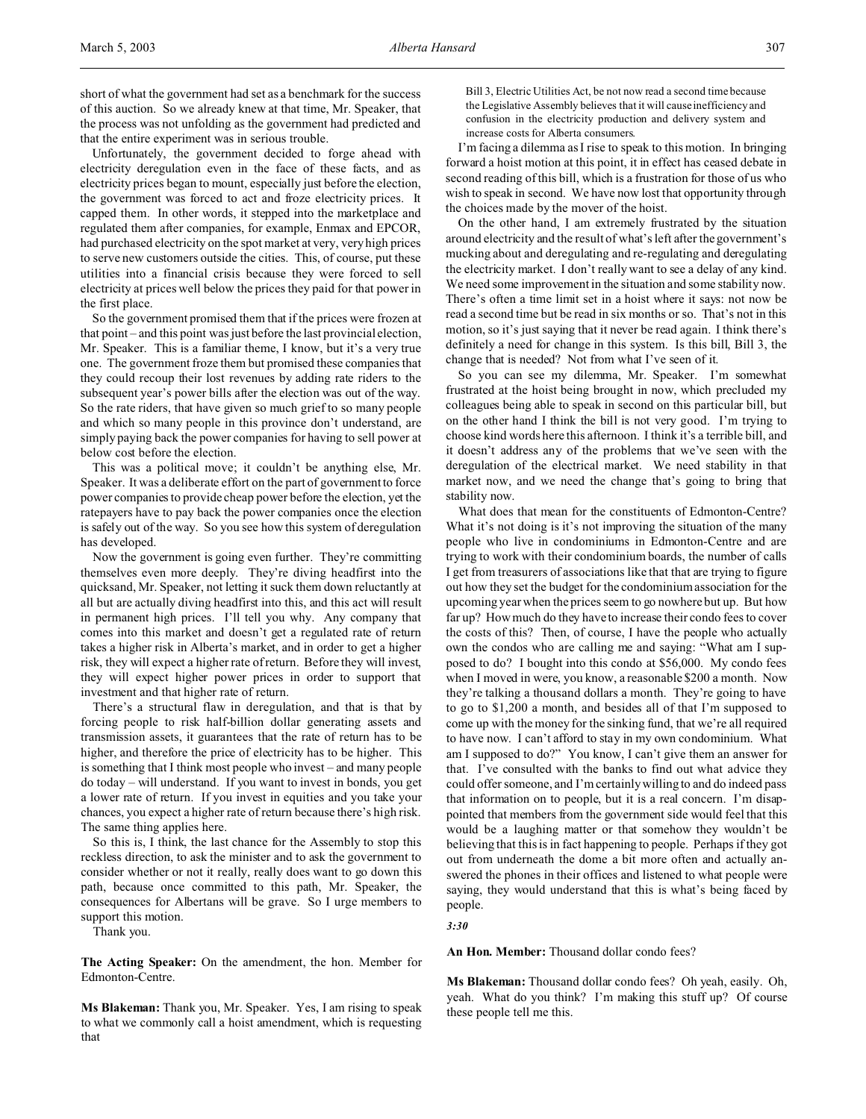short of what the government had set as a benchmark for the success of this auction. So we already knew at that time, Mr. Speaker, that the process was not unfolding as the government had predicted and that the entire experiment was in serious trouble.

Unfortunately, the government decided to forge ahead with electricity deregulation even in the face of these facts, and as electricity prices began to mount, especially just before the election, the government was forced to act and froze electricity prices. It capped them. In other words, it stepped into the marketplace and regulated them after companies, for example, Enmax and EPCOR, had purchased electricity on the spot market at very, very high prices to serve new customers outside the cities. This, of course, put these utilities into a financial crisis because they were forced to sell electricity at prices well below the prices they paid for that power in the first place.

So the government promised them that if the prices were frozen at that point – and this point was just before the last provincial election, Mr. Speaker. This is a familiar theme, I know, but it's a very true one. The government froze them but promised these companies that they could recoup their lost revenues by adding rate riders to the subsequent year's power bills after the election was out of the way. So the rate riders, that have given so much grief to so many people and which so many people in this province don't understand, are simply paying back the power companies for having to sell power at below cost before the election.

This was a political move; it couldn't be anything else, Mr. Speaker. It was a deliberate effort on the part of government to force power companies to provide cheap power before the election, yet the ratepayers have to pay back the power companies once the election is safely out of the way. So you see how this system of deregulation has developed.

Now the government is going even further. They're committing themselves even more deeply. They're diving headfirst into the quicksand, Mr. Speaker, not letting it suck them down reluctantly at all but are actually diving headfirst into this, and this act will result in permanent high prices. I'll tell you why. Any company that comes into this market and doesn't get a regulated rate of return takes a higher risk in Alberta's market, and in order to get a higher risk, they will expect a higher rate of return. Before they will invest, they will expect higher power prices in order to support that investment and that higher rate of return.

There's a structural flaw in deregulation, and that is that by forcing people to risk half-billion dollar generating assets and transmission assets, it guarantees that the rate of return has to be higher, and therefore the price of electricity has to be higher. This is something that I think most people who invest – and many people do today – will understand. If you want to invest in bonds, you get a lower rate of return. If you invest in equities and you take your chances, you expect a higher rate of return because there's high risk. The same thing applies here.

So this is, I think, the last chance for the Assembly to stop this reckless direction, to ask the minister and to ask the government to consider whether or not it really, really does want to go down this path, because once committed to this path, Mr. Speaker, the consequences for Albertans will be grave. So I urge members to support this motion.

Thank you.

**The Acting Speaker:** On the amendment, the hon. Member for Edmonton-Centre.

**Ms Blakeman:** Thank you, Mr. Speaker. Yes, I am rising to speak to what we commonly call a hoist amendment, which is requesting that

Bill 3, Electric Utilities Act, be not now read a second time because the Legislative Assembly believes that it will cause inefficiency and confusion in the electricity production and delivery system and increase costs for Alberta consumers.

I'm facing a dilemma as I rise to speak to this motion. In bringing forward a hoist motion at this point, it in effect has ceased debate in second reading of this bill, which is a frustration for those of us who wish to speak in second. We have now lost that opportunity through the choices made by the mover of the hoist.

On the other hand, I am extremely frustrated by the situation around electricity and the result of what's left after the government's mucking about and deregulating and re-regulating and deregulating the electricity market. I don't really want to see a delay of any kind. We need some improvement in the situation and some stability now. There's often a time limit set in a hoist where it says: not now be read a second time but be read in six months or so. That's not in this motion, so it's just saying that it never be read again. I think there's definitely a need for change in this system. Is this bill, Bill 3, the change that is needed? Not from what I've seen of it.

So you can see my dilemma, Mr. Speaker. I'm somewhat frustrated at the hoist being brought in now, which precluded my colleagues being able to speak in second on this particular bill, but on the other hand I think the bill is not very good. I'm trying to choose kind words here this afternoon. I think it's a terrible bill, and it doesn't address any of the problems that we've seen with the deregulation of the electrical market. We need stability in that market now, and we need the change that's going to bring that stability now.

What does that mean for the constituents of Edmonton-Centre? What it's not doing is it's not improving the situation of the many people who live in condominiums in Edmonton-Centre and are trying to work with their condominium boards, the number of calls I get from treasurers of associations like that that are trying to figure out how they set the budget for the condominium association for the upcoming year when the prices seem to go nowhere but up. But how far up? How much do they have to increase their condo fees to cover the costs of this? Then, of course, I have the people who actually own the condos who are calling me and saying: "What am I supposed to do? I bought into this condo at \$56,000. My condo fees when I moved in were, you know, a reasonable \$200 a month. Now they're talking a thousand dollars a month. They're going to have to go to \$1,200 a month, and besides all of that I'm supposed to come up with the money for the sinking fund, that we're all required to have now. I can't afford to stay in my own condominium. What am I supposed to do?" You know, I can't give them an answer for that. I've consulted with the banks to find out what advice they could offer someone, and I'm certainly willing to and do indeed pass that information on to people, but it is a real concern. I'm disappointed that members from the government side would feel that this would be a laughing matter or that somehow they wouldn't be believing that this is in fact happening to people. Perhaps if they got out from underneath the dome a bit more often and actually answered the phones in their offices and listened to what people were saying, they would understand that this is what's being faced by people.

*3:30*

**An Hon. Member:** Thousand dollar condo fees?

**Ms Blakeman:** Thousand dollar condo fees? Oh yeah, easily. Oh, yeah. What do you think? I'm making this stuff up? Of course these people tell me this.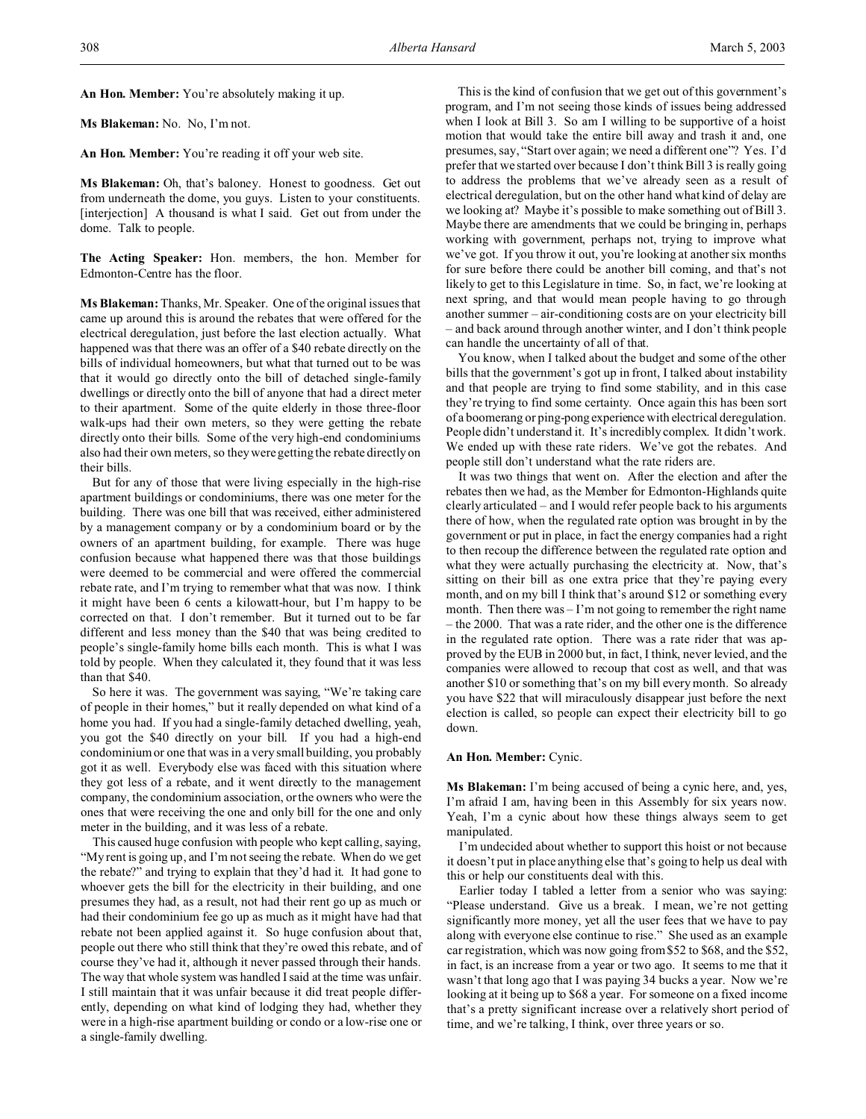**An Hon. Member:** You're absolutely making it up.

**Ms Blakeman:** No. No, I'm not.

**An Hon. Member:** You're reading it off your web site.

**Ms Blakeman:** Oh, that's baloney. Honest to goodness. Get out from underneath the dome, you guys. Listen to your constituents. [interjection] A thousand is what I said. Get out from under the dome. Talk to people.

**The Acting Speaker:** Hon. members, the hon. Member for Edmonton-Centre has the floor.

**Ms Blakeman:** Thanks, Mr. Speaker. One of the original issues that came up around this is around the rebates that were offered for the electrical deregulation, just before the last election actually. What happened was that there was an offer of a \$40 rebate directly on the bills of individual homeowners, but what that turned out to be was that it would go directly onto the bill of detached single-family dwellings or directly onto the bill of anyone that had a direct meter to their apartment. Some of the quite elderly in those three-floor walk-ups had their own meters, so they were getting the rebate directly onto their bills. Some of the very high-end condominiums also had their own meters, so they were getting the rebate directly on their bills.

But for any of those that were living especially in the high-rise apartment buildings or condominiums, there was one meter for the building. There was one bill that was received, either administered by a management company or by a condominium board or by the owners of an apartment building, for example. There was huge confusion because what happened there was that those buildings were deemed to be commercial and were offered the commercial rebate rate, and I'm trying to remember what that was now. I think it might have been 6 cents a kilowatt-hour, but I'm happy to be corrected on that. I don't remember. But it turned out to be far different and less money than the \$40 that was being credited to people's single-family home bills each month. This is what I was told by people. When they calculated it, they found that it was less than that \$40.

So here it was. The government was saying, "We're taking care of people in their homes," but it really depended on what kind of a home you had. If you had a single-family detached dwelling, yeah, you got the \$40 directly on your bill. If you had a high-end condominium or one that was in a very small building, you probably got it as well. Everybody else was faced with this situation where they got less of a rebate, and it went directly to the management company, the condominium association, or the owners who were the ones that were receiving the one and only bill for the one and only meter in the building, and it was less of a rebate.

This caused huge confusion with people who kept calling, saying, "My rent is going up, and I'm not seeing the rebate. When do we get the rebate?" and trying to explain that they'd had it. It had gone to whoever gets the bill for the electricity in their building, and one presumes they had, as a result, not had their rent go up as much or had their condominium fee go up as much as it might have had that rebate not been applied against it. So huge confusion about that, people out there who still think that they're owed this rebate, and of course they've had it, although it never passed through their hands. The way that whole system was handled I said at the time was unfair. I still maintain that it was unfair because it did treat people differently, depending on what kind of lodging they had, whether they were in a high-rise apartment building or condo or a low-rise one or a single-family dwelling.

This is the kind of confusion that we get out of this government's program, and I'm not seeing those kinds of issues being addressed when I look at Bill 3. So am I willing to be supportive of a hoist motion that would take the entire bill away and trash it and, one presumes, say, "Start over again; we need a different one"? Yes. I'd prefer that we started over because I don't think Bill 3 is really going to address the problems that we've already seen as a result of electrical deregulation, but on the other hand what kind of delay are we looking at? Maybe it's possible to make something out of Bill 3. Maybe there are amendments that we could be bringing in, perhaps working with government, perhaps not, trying to improve what we've got. If you throw it out, you're looking at another six months for sure before there could be another bill coming, and that's not likely to get to this Legislature in time. So, in fact, we're looking at next spring, and that would mean people having to go through another summer – air-conditioning costs are on your electricity bill – and back around through another winter, and I don't think people can handle the uncertainty of all of that.

You know, when I talked about the budget and some of the other bills that the government's got up in front, I talked about instability and that people are trying to find some stability, and in this case they're trying to find some certainty. Once again this has been sort of a boomerang or ping-pong experience with electrical deregulation. People didn't understand it. It's incredibly complex. It didn't work. We ended up with these rate riders. We've got the rebates. And people still don't understand what the rate riders are.

It was two things that went on. After the election and after the rebates then we had, as the Member for Edmonton-Highlands quite clearly articulated – and I would refer people back to his arguments there of how, when the regulated rate option was brought in by the government or put in place, in fact the energy companies had a right to then recoup the difference between the regulated rate option and what they were actually purchasing the electricity at. Now, that's sitting on their bill as one extra price that they're paying every month, and on my bill I think that's around \$12 or something every month. Then there was – I'm not going to remember the right name – the 2000. That was a rate rider, and the other one is the difference in the regulated rate option. There was a rate rider that was approved by the EUB in 2000 but, in fact, I think, never levied, and the companies were allowed to recoup that cost as well, and that was another \$10 or something that's on my bill every month. So already you have \$22 that will miraculously disappear just before the next election is called, so people can expect their electricity bill to go down.

#### **An Hon. Member:** Cynic.

**Ms Blakeman:** I'm being accused of being a cynic here, and, yes, I'm afraid I am, having been in this Assembly for six years now. Yeah, I'm a cynic about how these things always seem to get manipulated.

I'm undecided about whether to support this hoist or not because it doesn't put in place anything else that's going to help us deal with this or help our constituents deal with this.

Earlier today I tabled a letter from a senior who was saying: "Please understand. Give us a break. I mean, we're not getting significantly more money, yet all the user fees that we have to pay along with everyone else continue to rise." She used as an example car registration, which was now going from \$52 to \$68, and the \$52, in fact, is an increase from a year or two ago. It seems to me that it wasn't that long ago that I was paying 34 bucks a year. Now we're looking at it being up to \$68 a year. For someone on a fixed income that's a pretty significant increase over a relatively short period of time, and we're talking, I think, over three years or so.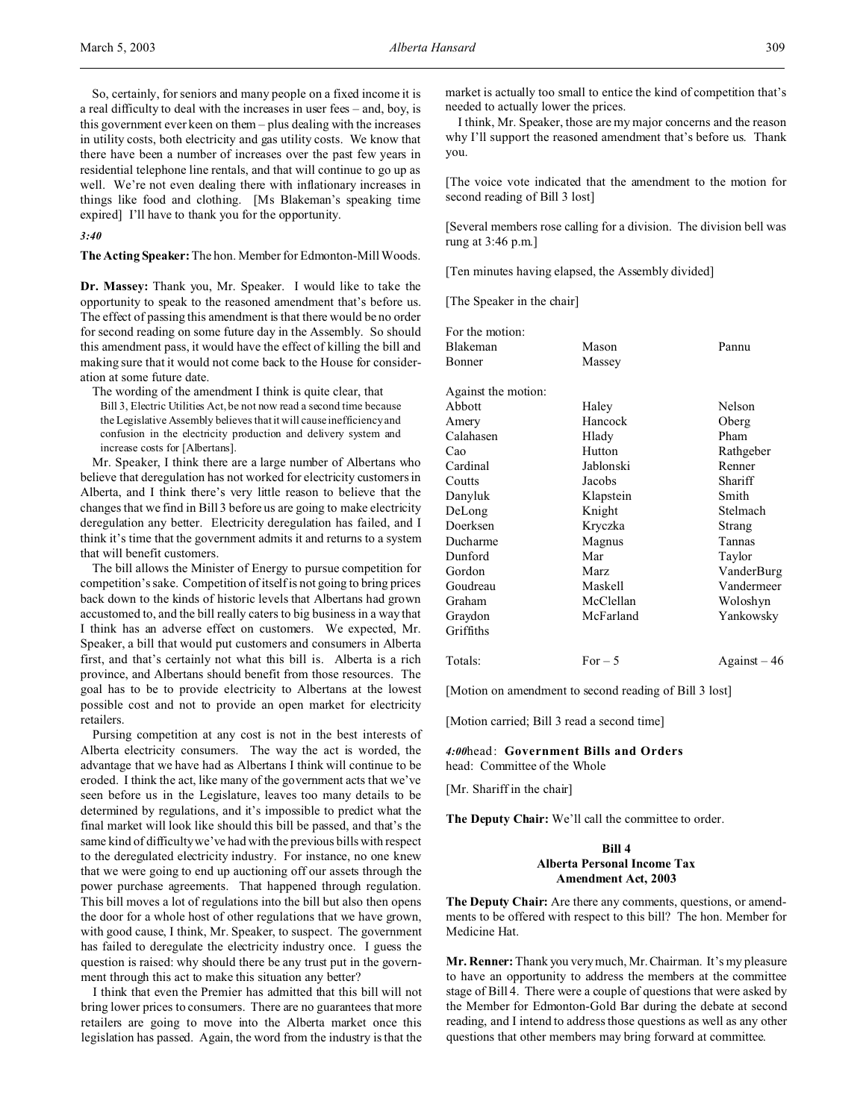So, certainly, for seniors and many people on a fixed income it is a real difficulty to deal with the increases in user fees – and, boy, is this government ever keen on them – plus dealing with the increases in utility costs, both electricity and gas utility costs. We know that there have been a number of increases over the past few years in residential telephone line rentals, and that will continue to go up as well. We're not even dealing there with inflationary increases in things like food and clothing. [Ms Blakeman's speaking time expired] I'll have to thank you for the opportunity.

*3:40*

**The Acting Speaker:** The hon. Member for Edmonton-Mill Woods.

**Dr. Massey:** Thank you, Mr. Speaker. I would like to take the opportunity to speak to the reasoned amendment that's before us. The effect of passing this amendment is that there would be no order for second reading on some future day in the Assembly. So should this amendment pass, it would have the effect of killing the bill and making sure that it would not come back to the House for consideration at some future date.

The wording of the amendment I think is quite clear, that Bill 3, Electric Utilities Act, be not now read a second time because the Legislative Assembly believes that it will cause inefficiency and confusion in the electricity production and delivery system and increase costs for [Albertans].

Mr. Speaker, I think there are a large number of Albertans who believe that deregulation has not worked for electricity customers in Alberta, and I think there's very little reason to believe that the changes that we find in Bill 3 before us are going to make electricity deregulation any better. Electricity deregulation has failed, and I think it's time that the government admits it and returns to a system that will benefit customers.

The bill allows the Minister of Energy to pursue competition for competition's sake. Competition of itself is not going to bring prices back down to the kinds of historic levels that Albertans had grown accustomed to, and the bill really caters to big business in a way that I think has an adverse effect on customers. We expected, Mr. Speaker, a bill that would put customers and consumers in Alberta first, and that's certainly not what this bill is. Alberta is a rich province, and Albertans should benefit from those resources. The goal has to be to provide electricity to Albertans at the lowest possible cost and not to provide an open market for electricity retailers.

Pursing competition at any cost is not in the best interests of Alberta electricity consumers. The way the act is worded, the advantage that we have had as Albertans I think will continue to be eroded. I think the act, like many of the government acts that we've seen before us in the Legislature, leaves too many details to be determined by regulations, and it's impossible to predict what the final market will look like should this bill be passed, and that's the same kind of difficulty we've had with the previous bills with respect to the deregulated electricity industry. For instance, no one knew that we were going to end up auctioning off our assets through the power purchase agreements. That happened through regulation. This bill moves a lot of regulations into the bill but also then opens the door for a whole host of other regulations that we have grown, with good cause, I think, Mr. Speaker, to suspect. The government has failed to deregulate the electricity industry once. I guess the question is raised: why should there be any trust put in the government through this act to make this situation any better?

I think that even the Premier has admitted that this bill will not bring lower prices to consumers. There are no guarantees that more retailers are going to move into the Alberta market once this legislation has passed. Again, the word from the industry is that the

market is actually too small to entice the kind of competition that's needed to actually lower the prices.

I think, Mr. Speaker, those are my major concerns and the reason why I'll support the reasoned amendment that's before us. Thank you.

[The voice vote indicated that the amendment to the motion for second reading of Bill 3 lost]

[Several members rose calling for a division. The division bell was rung at 3:46 p.m.]

[Ten minutes having elapsed, the Assembly divided]

[The Speaker in the chair]

| For the motion:     |           |               |
|---------------------|-----------|---------------|
| Blakeman            | Mason     | Pannu         |
| Bonner              | Massey    |               |
| Against the motion: |           |               |
| Abbott              | Haley     | Nelson        |
| Amery               | Hancock   | Oberg         |
| Calahasen           | Hlady     | Pham          |
| Cao                 | Hutton    | Rathgeber     |
| Cardinal            | Jablonski | Renner        |
| Coutts              | Jacobs    | Shariff       |
| Danyluk             | Klapstein | Smith         |
| DeLong              | Knight    | Stelmach      |
| Doerksen            | Kryczka   | Strang        |
| Ducharme            | Magnus    | Tannas        |
| Dunford             | Mar       | Taylor        |
| Gordon              | Marz      | VanderBurg    |
| Goudreau            | Maskell   | Vandermeer    |
| Graham              | McClellan | Woloshyn      |
| Graydon             | McFarland | Yankowsky     |
| Griffiths           |           |               |
| Totals:             | $For-5$   | Against $-46$ |

[Motion on amendment to second reading of Bill 3 lost]

[Motion carried; Bill 3 read a second time]

### *4:00*head: **Government Bills and Orders** head: Committee of the Whole

[Mr. Shariff in the chair]

**The Deputy Chair:** We'll call the committee to order.

# **Bill 4 Alberta Personal Income Tax Amendment Act, 2003**

**The Deputy Chair:** Are there any comments, questions, or amendments to be offered with respect to this bill? The hon. Member for Medicine Hat.

**Mr. Renner:** Thank you very much, Mr. Chairman. It's my pleasure to have an opportunity to address the members at the committee stage of Bill 4. There were a couple of questions that were asked by the Member for Edmonton-Gold Bar during the debate at second reading, and I intend to address those questions as well as any other questions that other members may bring forward at committee.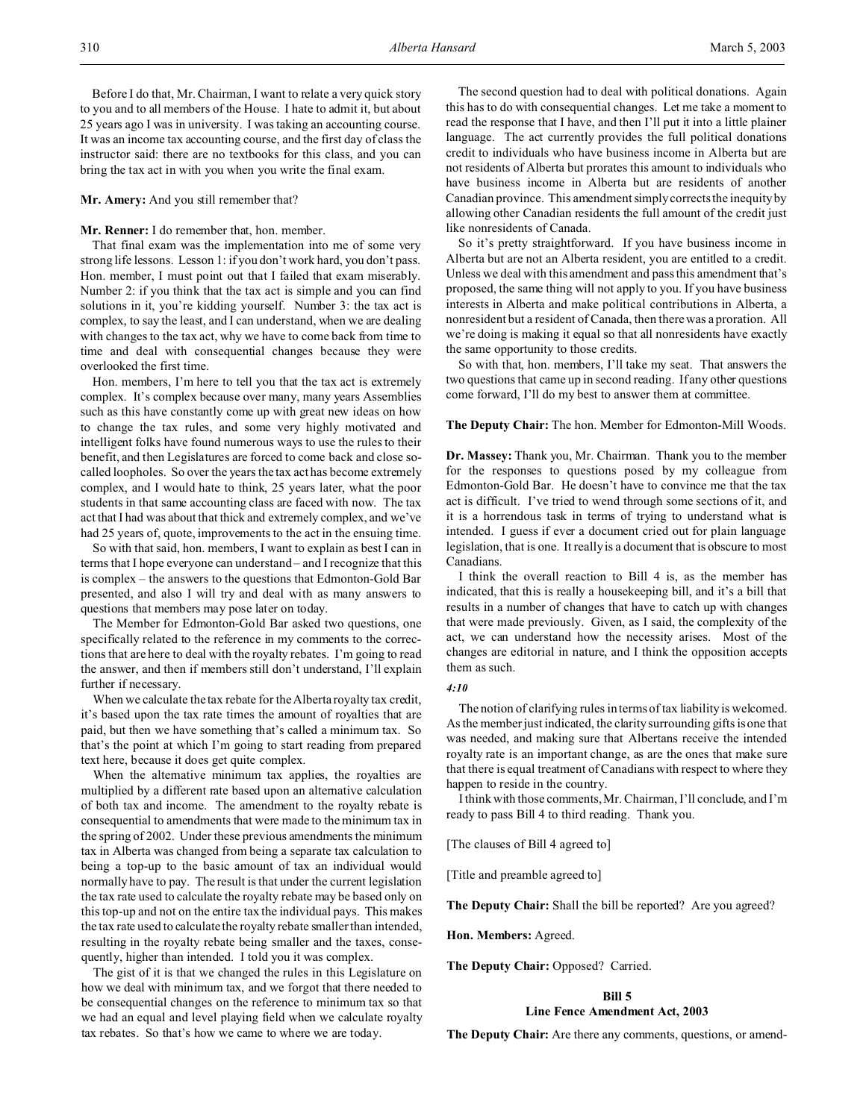Before I do that, Mr. Chairman, I want to relate a very quick story to you and to all members of the House. I hate to admit it, but about 25 years ago I was in university. I was taking an accounting course. It was an income tax accounting course, and the first day of class the instructor said: there are no textbooks for this class, and you can bring the tax act in with you when you write the final exam.

#### **Mr. Amery:** And you still remember that?

## **Mr. Renner:** I do remember that, hon. member.

That final exam was the implementation into me of some very strong life lessons. Lesson 1: if you don't work hard, you don't pass. Hon. member, I must point out that I failed that exam miserably. Number 2: if you think that the tax act is simple and you can find solutions in it, you're kidding yourself. Number 3: the tax act is complex, to say the least, and I can understand, when we are dealing with changes to the tax act, why we have to come back from time to time and deal with consequential changes because they were overlooked the first time.

Hon. members, I'm here to tell you that the tax act is extremely complex. It's complex because over many, many years Assemblies such as this have constantly come up with great new ideas on how to change the tax rules, and some very highly motivated and intelligent folks have found numerous ways to use the rules to their benefit, and then Legislatures are forced to come back and close socalled loopholes. So over the years the tax act has become extremely complex, and I would hate to think, 25 years later, what the poor students in that same accounting class are faced with now. The tax act that I had was about that thick and extremely complex, and we've had 25 years of, quote, improvements to the act in the ensuing time.

So with that said, hon. members, I want to explain as best I can in terms that I hope everyone can understand – and I recognize that this is complex – the answers to the questions that Edmonton-Gold Bar presented, and also I will try and deal with as many answers to questions that members may pose later on today.

The Member for Edmonton-Gold Bar asked two questions, one specifically related to the reference in my comments to the corrections that are here to deal with the royalty rebates. I'm going to read the answer, and then if members still don't understand, I'll explain further if necessary.

When we calculate the tax rebate for the Alberta royalty tax credit, it's based upon the tax rate times the amount of royalties that are paid, but then we have something that's called a minimum tax. So that's the point at which I'm going to start reading from prepared text here, because it does get quite complex.

When the alternative minimum tax applies, the royalties are multiplied by a different rate based upon an alternative calculation of both tax and income. The amendment to the royalty rebate is consequential to amendments that were made to the minimum tax in the spring of 2002. Under these previous amendments the minimum tax in Alberta was changed from being a separate tax calculation to being a top-up to the basic amount of tax an individual would normally have to pay. The result is that under the current legislation the tax rate used to calculate the royalty rebate may be based only on this top-up and not on the entire tax the individual pays. This makes the tax rate used to calculate the royalty rebate smaller than intended, resulting in the royalty rebate being smaller and the taxes, consequently, higher than intended. I told you it was complex.

The gist of it is that we changed the rules in this Legislature on how we deal with minimum tax, and we forgot that there needed to be consequential changes on the reference to minimum tax so that we had an equal and level playing field when we calculate royalty tax rebates. So that's how we came to where we are today.

The second question had to deal with political donations. Again this has to do with consequential changes. Let me take a moment to read the response that I have, and then I'll put it into a little plainer language. The act currently provides the full political donations credit to individuals who have business income in Alberta but are not residents of Alberta but prorates this amount to individuals who have business income in Alberta but are residents of another Canadian province. This amendment simply corrects the inequity by allowing other Canadian residents the full amount of the credit just like nonresidents of Canada.

So it's pretty straightforward. If you have business income in Alberta but are not an Alberta resident, you are entitled to a credit. Unless we deal with this amendment and pass this amendment that's proposed, the same thing will not apply to you. If you have business interests in Alberta and make political contributions in Alberta, a nonresident but a resident of Canada, then there was a proration. All we're doing is making it equal so that all nonresidents have exactly the same opportunity to those credits.

So with that, hon. members, I'll take my seat. That answers the two questions that came up in second reading. If any other questions come forward, I'll do my best to answer them at committee.

### **The Deputy Chair:** The hon. Member for Edmonton-Mill Woods.

**Dr. Massey:** Thank you, Mr. Chairman. Thank you to the member for the responses to questions posed by my colleague from Edmonton-Gold Bar. He doesn't have to convince me that the tax act is difficult. I've tried to wend through some sections of it, and it is a horrendous task in terms of trying to understand what is intended. I guess if ever a document cried out for plain language legislation, that is one. It really is a document that is obscure to most Canadians.

I think the overall reaction to Bill 4 is, as the member has indicated, that this is really a housekeeping bill, and it's a bill that results in a number of changes that have to catch up with changes that were made previously. Given, as I said, the complexity of the act, we can understand how the necessity arises. Most of the changes are editorial in nature, and I think the opposition accepts them as such.

#### *4:10*

The notion of clarifying rules in terms of tax liability is welcomed. As the member just indicated, the clarity surrounding gifts is one that was needed, and making sure that Albertans receive the intended royalty rate is an important change, as are the ones that make sure that there is equal treatment of Canadians with respect to where they happen to reside in the country.

I think with those comments, Mr. Chairman, I'll conclude, and I'm ready to pass Bill 4 to third reading. Thank you.

[The clauses of Bill 4 agreed to]

[Title and preamble agreed to]

**The Deputy Chair:** Shall the bill be reported? Are you agreed?

**Hon. Members:** Agreed.

**The Deputy Chair:** Opposed? Carried.

# **Bill 5 Line Fence Amendment Act, 2003**

**The Deputy Chair:** Are there any comments, questions, or amend-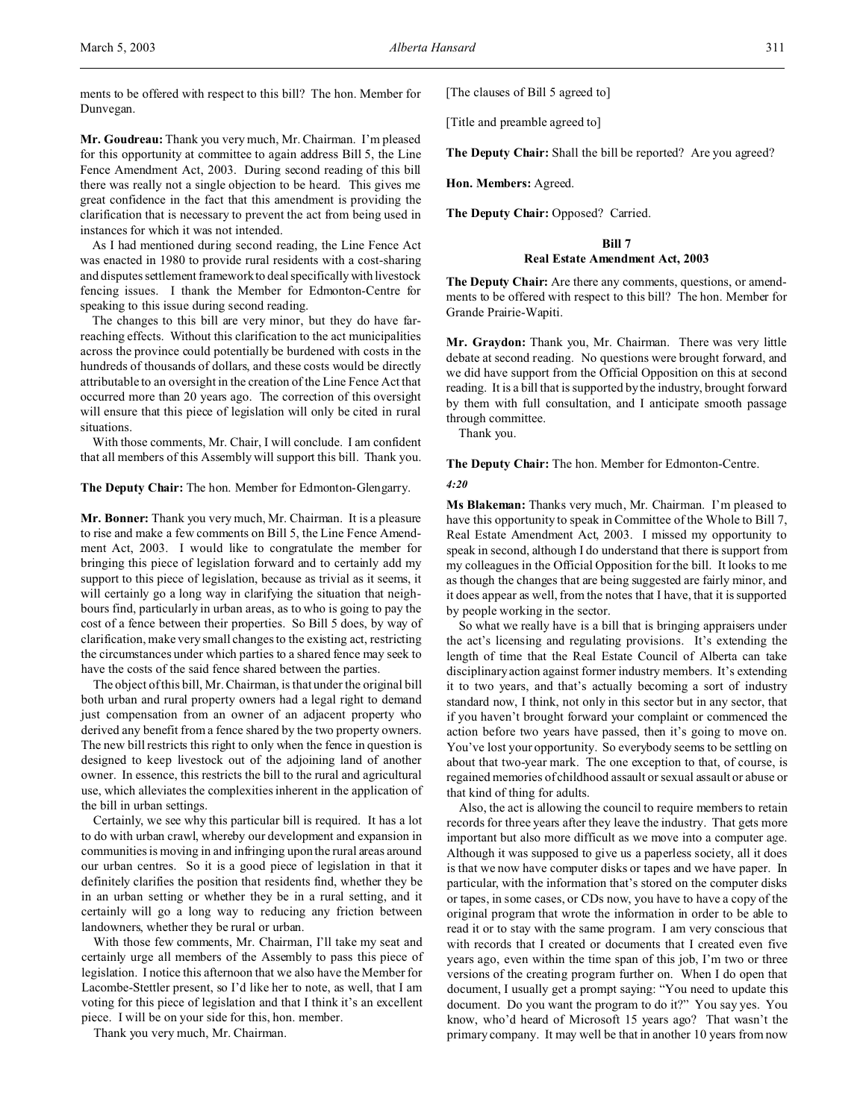ments to be offered with respect to this bill? The hon. Member for Dunvegan.

**Mr. Goudreau:** Thank you very much, Mr. Chairman. I'm pleased for this opportunity at committee to again address Bill 5, the Line Fence Amendment Act, 2003. During second reading of this bill there was really not a single objection to be heard. This gives me great confidence in the fact that this amendment is providing the clarification that is necessary to prevent the act from being used in instances for which it was not intended.

As I had mentioned during second reading, the Line Fence Act was enacted in 1980 to provide rural residents with a cost-sharing and disputes settlement framework to deal specifically with livestock fencing issues. I thank the Member for Edmonton-Centre for speaking to this issue during second reading.

The changes to this bill are very minor, but they do have farreaching effects. Without this clarification to the act municipalities across the province could potentially be burdened with costs in the hundreds of thousands of dollars, and these costs would be directly attributable to an oversight in the creation of the Line Fence Act that occurred more than 20 years ago. The correction of this oversight will ensure that this piece of legislation will only be cited in rural situations.

With those comments, Mr. Chair, I will conclude. I am confident that all members of this Assembly will support this bill. Thank you.

### **The Deputy Chair:** The hon. Member for Edmonton-Glengarry.

**Mr. Bonner:** Thank you very much, Mr. Chairman. It is a pleasure to rise and make a few comments on Bill 5, the Line Fence Amendment Act, 2003. I would like to congratulate the member for bringing this piece of legislation forward and to certainly add my support to this piece of legislation, because as trivial as it seems, it will certainly go a long way in clarifying the situation that neighbours find, particularly in urban areas, as to who is going to pay the cost of a fence between their properties. So Bill 5 does, by way of clarification, make very small changes to the existing act, restricting the circumstances under which parties to a shared fence may seek to have the costs of the said fence shared between the parties.

The object of this bill, Mr. Chairman, is that under the original bill both urban and rural property owners had a legal right to demand just compensation from an owner of an adjacent property who derived any benefit from a fence shared by the two property owners. The new bill restricts this right to only when the fence in question is designed to keep livestock out of the adjoining land of another owner. In essence, this restricts the bill to the rural and agricultural use, which alleviates the complexities inherent in the application of the bill in urban settings.

Certainly, we see why this particular bill is required. It has a lot to do with urban crawl, whereby our development and expansion in communities is moving in and infringing upon the rural areas around our urban centres. So it is a good piece of legislation in that it definitely clarifies the position that residents find, whether they be in an urban setting or whether they be in a rural setting, and it certainly will go a long way to reducing any friction between landowners, whether they be rural or urban.

With those few comments, Mr. Chairman, I'll take my seat and certainly urge all members of the Assembly to pass this piece of legislation. I notice this afternoon that we also have the Member for Lacombe-Stettler present, so I'd like her to note, as well, that I am voting for this piece of legislation and that I think it's an excellent piece. I will be on your side for this, hon. member.

Thank you very much, Mr. Chairman.

[The clauses of Bill 5 agreed to]

[Title and preamble agreed to]

**The Deputy Chair:** Shall the bill be reported? Are you agreed?

**Hon. Members:** Agreed.

**The Deputy Chair:** Opposed? Carried.

### **Bill 7 Real Estate Amendment Act, 2003**

**The Deputy Chair:** Are there any comments, questions, or amendments to be offered with respect to this bill? The hon. Member for Grande Prairie-Wapiti.

**Mr. Graydon:** Thank you, Mr. Chairman. There was very little debate at second reading. No questions were brought forward, and we did have support from the Official Opposition on this at second reading. It is a bill that is supported by the industry, brought forward by them with full consultation, and I anticipate smooth passage through committee.

Thank you.

**The Deputy Chair:** The hon. Member for Edmonton-Centre.

#### *4:20*

**Ms Blakeman:** Thanks very much, Mr. Chairman. I'm pleased to have this opportunity to speak in Committee of the Whole to Bill 7, Real Estate Amendment Act, 2003. I missed my opportunity to speak in second, although I do understand that there is support from my colleagues in the Official Opposition for the bill. It looks to me as though the changes that are being suggested are fairly minor, and it does appear as well, from the notes that I have, that it is supported by people working in the sector.

So what we really have is a bill that is bringing appraisers under the act's licensing and regulating provisions. It's extending the length of time that the Real Estate Council of Alberta can take disciplinary action against former industry members. It's extending it to two years, and that's actually becoming a sort of industry standard now, I think, not only in this sector but in any sector, that if you haven't brought forward your complaint or commenced the action before two years have passed, then it's going to move on. You've lost your opportunity. So everybody seems to be settling on about that two-year mark. The one exception to that, of course, is regained memories of childhood assault or sexual assault or abuse or that kind of thing for adults.

Also, the act is allowing the council to require members to retain records for three years after they leave the industry. That gets more important but also more difficult as we move into a computer age. Although it was supposed to give us a paperless society, all it does is that we now have computer disks or tapes and we have paper. In particular, with the information that's stored on the computer disks or tapes, in some cases, or CDs now, you have to have a copy of the original program that wrote the information in order to be able to read it or to stay with the same program. I am very conscious that with records that I created or documents that I created even five years ago, even within the time span of this job, I'm two or three versions of the creating program further on. When I do open that document, I usually get a prompt saying: "You need to update this document. Do you want the program to do it?" You say yes. You know, who'd heard of Microsoft 15 years ago? That wasn't the primary company. It may well be that in another 10 years from now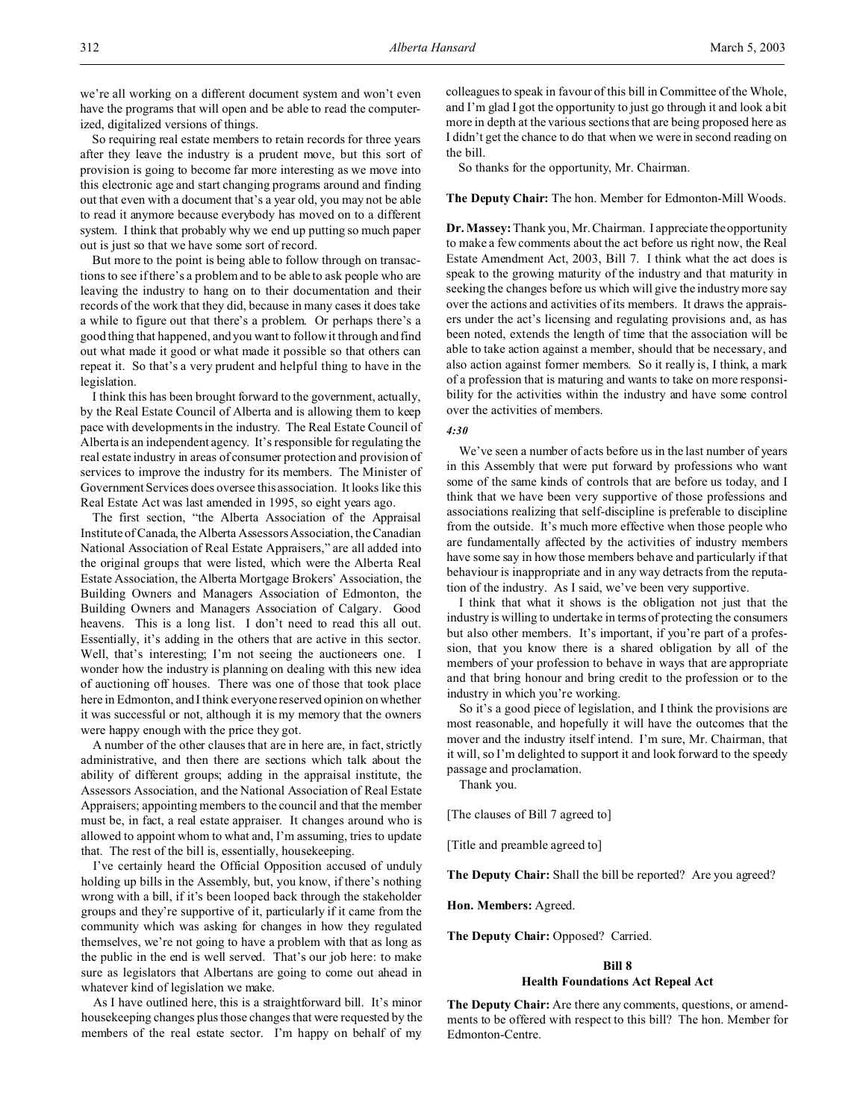we're all working on a different document system and won't even have the programs that will open and be able to read the computerized, digitalized versions of things.

So requiring real estate members to retain records for three years after they leave the industry is a prudent move, but this sort of provision is going to become far more interesting as we move into this electronic age and start changing programs around and finding out that even with a document that's a year old, you may not be able to read it anymore because everybody has moved on to a different system. I think that probably why we end up putting so much paper out is just so that we have some sort of record.

But more to the point is being able to follow through on transactions to see if there's a problem and to be able to ask people who are leaving the industry to hang on to their documentation and their records of the work that they did, because in many cases it does take a while to figure out that there's a problem. Or perhaps there's a good thing that happened, and you want to follow it through and find out what made it good or what made it possible so that others can repeat it. So that's a very prudent and helpful thing to have in the legislation.

I think this has been brought forward to the government, actually, by the Real Estate Council of Alberta and is allowing them to keep pace with developments in the industry. The Real Estate Council of Alberta is an independent agency. It's responsible for regulating the real estate industry in areas of consumer protection and provision of services to improve the industry for its members. The Minister of Government Services does oversee this association. It looks like this Real Estate Act was last amended in 1995, so eight years ago.

The first section, "the Alberta Association of the Appraisal Institute of Canada, the Alberta Assessors Association, the Canadian National Association of Real Estate Appraisers," are all added into the original groups that were listed, which were the Alberta Real Estate Association, the Alberta Mortgage Brokers' Association, the Building Owners and Managers Association of Edmonton, the Building Owners and Managers Association of Calgary. Good heavens. This is a long list. I don't need to read this all out. Essentially, it's adding in the others that are active in this sector. Well, that's interesting; I'm not seeing the auctioneers one. I wonder how the industry is planning on dealing with this new idea of auctioning off houses. There was one of those that took place here in Edmonton, and I think everyone reserved opinion on whether it was successful or not, although it is my memory that the owners were happy enough with the price they got.

A number of the other clauses that are in here are, in fact, strictly administrative, and then there are sections which talk about the ability of different groups; adding in the appraisal institute, the Assessors Association, and the National Association of Real Estate Appraisers; appointing members to the council and that the member must be, in fact, a real estate appraiser. It changes around who is allowed to appoint whom to what and, I'm assuming, tries to update that. The rest of the bill is, essentially, housekeeping.

I've certainly heard the Official Opposition accused of unduly holding up bills in the Assembly, but, you know, if there's nothing wrong with a bill, if it's been looped back through the stakeholder groups and they're supportive of it, particularly if it came from the community which was asking for changes in how they regulated themselves, we're not going to have a problem with that as long as the public in the end is well served. That's our job here: to make sure as legislators that Albertans are going to come out ahead in whatever kind of legislation we make.

As I have outlined here, this is a straightforward bill. It's minor housekeeping changes plus those changes that were requested by the members of the real estate sector. I'm happy on behalf of my colleagues to speak in favour of this bill in Committee of the Whole, and I'm glad I got the opportunity to just go through it and look a bit more in depth at the various sections that are being proposed here as I didn't get the chance to do that when we were in second reading on the bill.

So thanks for the opportunity, Mr. Chairman.

# **The Deputy Chair:** The hon. Member for Edmonton-Mill Woods.

**Dr. Massey:** Thank you, Mr. Chairman. I appreciate the opportunity to make a few comments about the act before us right now, the Real Estate Amendment Act, 2003, Bill 7. I think what the act does is speak to the growing maturity of the industry and that maturity in seeking the changes before us which will give the industry more say over the actions and activities of its members. It draws the appraisers under the act's licensing and regulating provisions and, as has been noted, extends the length of time that the association will be able to take action against a member, should that be necessary, and also action against former members. So it really is, I think, a mark of a profession that is maturing and wants to take on more responsibility for the activities within the industry and have some control over the activities of members.

## *4:30*

We've seen a number of acts before us in the last number of years in this Assembly that were put forward by professions who want some of the same kinds of controls that are before us today, and I think that we have been very supportive of those professions and associations realizing that self-discipline is preferable to discipline from the outside. It's much more effective when those people who are fundamentally affected by the activities of industry members have some say in how those members behave and particularly if that behaviour is inappropriate and in any way detracts from the reputation of the industry. As I said, we've been very supportive.

I think that what it shows is the obligation not just that the industry is willing to undertake in terms of protecting the consumers but also other members. It's important, if you're part of a profession, that you know there is a shared obligation by all of the members of your profession to behave in ways that are appropriate and that bring honour and bring credit to the profession or to the industry in which you're working.

So it's a good piece of legislation, and I think the provisions are most reasonable, and hopefully it will have the outcomes that the mover and the industry itself intend. I'm sure, Mr. Chairman, that it will, so I'm delighted to support it and look forward to the speedy passage and proclamation.

Thank you.

[The clauses of Bill 7 agreed to]

[Title and preamble agreed to]

**The Deputy Chair:** Shall the bill be reported? Are you agreed?

**Hon. Members:** Agreed.

**The Deputy Chair:** Opposed? Carried.

#### **Bill 8**

#### **Health Foundations Act Repeal Act**

**The Deputy Chair:** Are there any comments, questions, or amendments to be offered with respect to this bill? The hon. Member for Edmonton-Centre.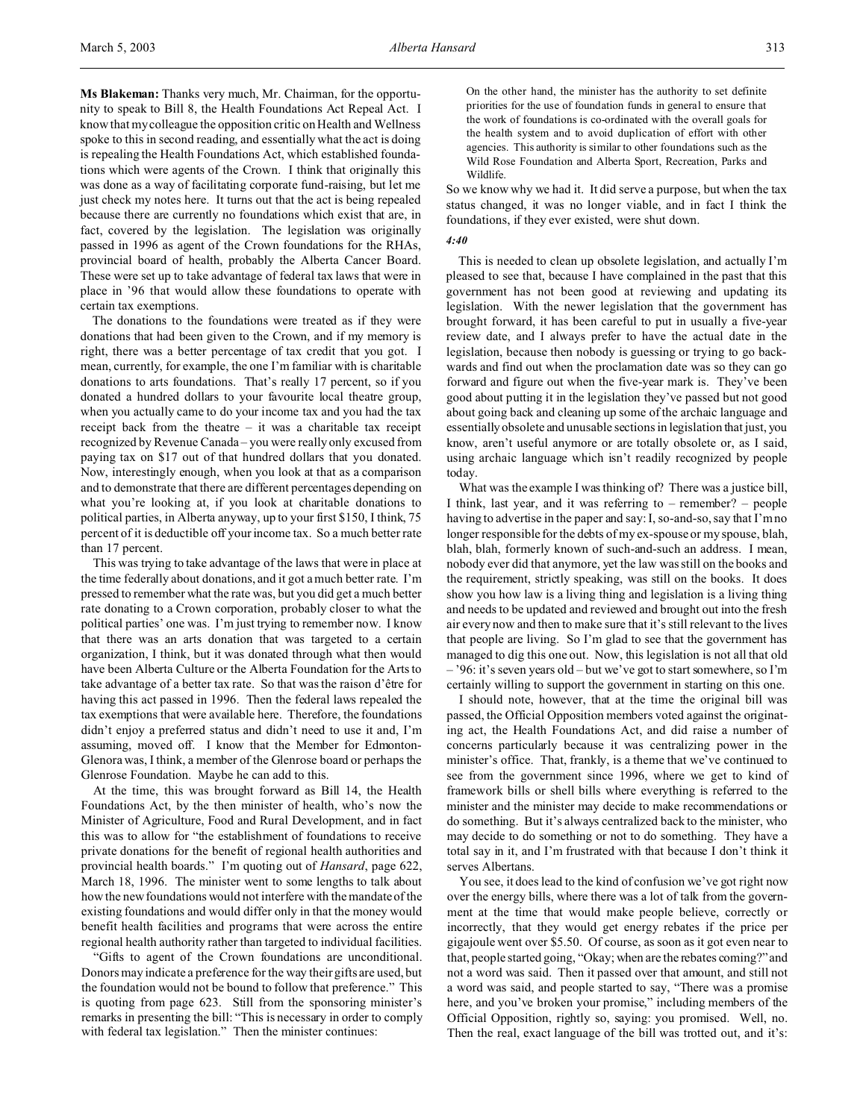**Ms Blakeman:** Thanks very much, Mr. Chairman, for the opportunity to speak to Bill 8, the Health Foundations Act Repeal Act. I know that my colleague the opposition critic on Health and Wellness spoke to this in second reading, and essentially what the act is doing is repealing the Health Foundations Act, which established foundations which were agents of the Crown. I think that originally this was done as a way of facilitating corporate fund-raising, but let me just check my notes here. It turns out that the act is being repealed because there are currently no foundations which exist that are, in fact, covered by the legislation. The legislation was originally passed in 1996 as agent of the Crown foundations for the RHAs, provincial board of health, probably the Alberta Cancer Board. These were set up to take advantage of federal tax laws that were in place in '96 that would allow these foundations to operate with certain tax exemptions.

The donations to the foundations were treated as if they were donations that had been given to the Crown, and if my memory is right, there was a better percentage of tax credit that you got. I mean, currently, for example, the one I'm familiar with is charitable donations to arts foundations. That's really 17 percent, so if you donated a hundred dollars to your favourite local theatre group, when you actually came to do your income tax and you had the tax receipt back from the theatre – it was a charitable tax receipt recognized by Revenue Canada – you were really only excused from paying tax on \$17 out of that hundred dollars that you donated. Now, interestingly enough, when you look at that as a comparison and to demonstrate that there are different percentages depending on what you're looking at, if you look at charitable donations to political parties, in Alberta anyway, up to your first \$150, I think, 75 percent of it is deductible off your income tax. So a much better rate than 17 percent.

This was trying to take advantage of the laws that were in place at the time federally about donations, and it got a much better rate. I'm pressed to remember what the rate was, but you did get a much better rate donating to a Crown corporation, probably closer to what the political parties' one was. I'm just trying to remember now. I know that there was an arts donation that was targeted to a certain organization, I think, but it was donated through what then would have been Alberta Culture or the Alberta Foundation for the Arts to take advantage of a better tax rate. So that was the raison d'être for having this act passed in 1996. Then the federal laws repealed the tax exemptions that were available here. Therefore, the foundations didn't enjoy a preferred status and didn't need to use it and, I'm assuming, moved off. I know that the Member for Edmonton-Glenora was, I think, a member of the Glenrose board or perhaps the Glenrose Foundation. Maybe he can add to this.

At the time, this was brought forward as Bill 14, the Health Foundations Act, by the then minister of health, who's now the Minister of Agriculture, Food and Rural Development, and in fact this was to allow for "the establishment of foundations to receive private donations for the benefit of regional health authorities and provincial health boards." I'm quoting out of *Hansard*, page 622, March 18, 1996. The minister went to some lengths to talk about how the new foundations would not interfere with the mandate of the existing foundations and would differ only in that the money would benefit health facilities and programs that were across the entire regional health authority rather than targeted to individual facilities.

"Gifts to agent of the Crown foundations are unconditional. Donors may indicate a preference for the way their gifts are used, but the foundation would not be bound to follow that preference." This is quoting from page 623. Still from the sponsoring minister's remarks in presenting the bill: "This is necessary in order to comply with federal tax legislation." Then the minister continues:

On the other hand, the minister has the authority to set definite priorities for the use of foundation funds in general to ensure that the work of foundations is co-ordinated with the overall goals for the health system and to avoid duplication of effort with other agencies. This authority is similar to other foundations such as the Wild Rose Foundation and Alberta Sport, Recreation, Parks and Wildlife.

So we know why we had it. It did serve a purpose, but when the tax status changed, it was no longer viable, and in fact I think the foundations, if they ever existed, were shut down.

#### *4:40*

This is needed to clean up obsolete legislation, and actually I'm pleased to see that, because I have complained in the past that this government has not been good at reviewing and updating its legislation. With the newer legislation that the government has brought forward, it has been careful to put in usually a five-year review date, and I always prefer to have the actual date in the legislation, because then nobody is guessing or trying to go backwards and find out when the proclamation date was so they can go forward and figure out when the five-year mark is. They've been good about putting it in the legislation they've passed but not good about going back and cleaning up some of the archaic language and essentially obsolete and unusable sections in legislation that just, you know, aren't useful anymore or are totally obsolete or, as I said, using archaic language which isn't readily recognized by people today.

What was the example I was thinking of? There was a justice bill, I think, last year, and it was referring to – remember? – people having to advertise in the paper and say: I, so-and-so, say that I'm no longer responsible for the debts of my ex-spouse or my spouse, blah, blah, blah, formerly known of such-and-such an address. I mean, nobody ever did that anymore, yet the law was still on the books and the requirement, strictly speaking, was still on the books. It does show you how law is a living thing and legislation is a living thing and needs to be updated and reviewed and brought out into the fresh air every now and then to make sure that it's still relevant to the lives that people are living. So I'm glad to see that the government has managed to dig this one out. Now, this legislation is not all that old – '96: it's seven years old – but we've got to start somewhere, so I'm certainly willing to support the government in starting on this one.

I should note, however, that at the time the original bill was passed, the Official Opposition members voted against the originating act, the Health Foundations Act, and did raise a number of concerns particularly because it was centralizing power in the minister's office. That, frankly, is a theme that we've continued to see from the government since 1996, where we get to kind of framework bills or shell bills where everything is referred to the minister and the minister may decide to make recommendations or do something. But it's always centralized back to the minister, who may decide to do something or not to do something. They have a total say in it, and I'm frustrated with that because I don't think it serves Albertans.

You see, it does lead to the kind of confusion we've got right now over the energy bills, where there was a lot of talk from the government at the time that would make people believe, correctly or incorrectly, that they would get energy rebates if the price per gigajoule went over \$5.50. Of course, as soon as it got even near to that, people started going, "Okay; when are the rebates coming?" and not a word was said. Then it passed over that amount, and still not a word was said, and people started to say, "There was a promise here, and you've broken your promise," including members of the Official Opposition, rightly so, saying: you promised. Well, no. Then the real, exact language of the bill was trotted out, and it's: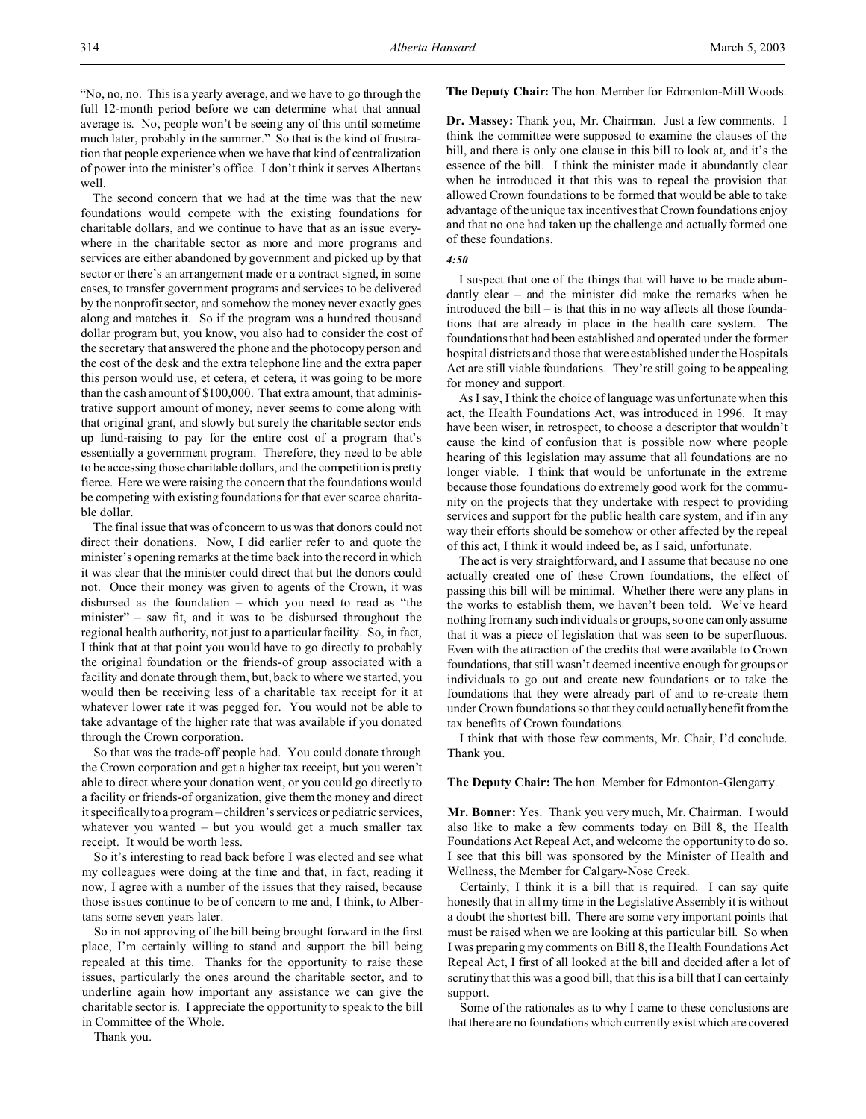"No, no, no. This is a yearly average, and we have to go through the full 12-month period before we can determine what that annual average is. No, people won't be seeing any of this until sometime much later, probably in the summer." So that is the kind of frustration that people experience when we have that kind of centralization of power into the minister's office. I don't think it serves Albertans well.

The second concern that we had at the time was that the new foundations would compete with the existing foundations for charitable dollars, and we continue to have that as an issue everywhere in the charitable sector as more and more programs and services are either abandoned by government and picked up by that sector or there's an arrangement made or a contract signed, in some cases, to transfer government programs and services to be delivered by the nonprofit sector, and somehow the money never exactly goes along and matches it. So if the program was a hundred thousand dollar program but, you know, you also had to consider the cost of the secretary that answered the phone and the photocopy person and the cost of the desk and the extra telephone line and the extra paper this person would use, et cetera, et cetera, it was going to be more than the cash amount of \$100,000. That extra amount, that administrative support amount of money, never seems to come along with that original grant, and slowly but surely the charitable sector ends up fund-raising to pay for the entire cost of a program that's essentially a government program. Therefore, they need to be able to be accessing those charitable dollars, and the competition is pretty fierce. Here we were raising the concern that the foundations would be competing with existing foundations for that ever scarce charitable dollar.

The final issue that was of concern to us was that donors could not direct their donations. Now, I did earlier refer to and quote the minister's opening remarks at the time back into the record in which it was clear that the minister could direct that but the donors could not. Once their money was given to agents of the Crown, it was disbursed as the foundation – which you need to read as "the minister" – saw fit, and it was to be disbursed throughout the regional health authority, not just to a particular facility. So, in fact, I think that at that point you would have to go directly to probably the original foundation or the friends-of group associated with a facility and donate through them, but, back to where we started, you would then be receiving less of a charitable tax receipt for it at whatever lower rate it was pegged for. You would not be able to take advantage of the higher rate that was available if you donated through the Crown corporation.

So that was the trade-off people had. You could donate through the Crown corporation and get a higher tax receipt, but you weren't able to direct where your donation went, or you could go directly to a facility or friends-of organization, give them the money and direct it specifically to a program – children's services or pediatric services, whatever you wanted – but you would get a much smaller tax receipt. It would be worth less.

So it's interesting to read back before I was elected and see what my colleagues were doing at the time and that, in fact, reading it now, I agree with a number of the issues that they raised, because those issues continue to be of concern to me and, I think, to Albertans some seven years later.

So in not approving of the bill being brought forward in the first place, I'm certainly willing to stand and support the bill being repealed at this time. Thanks for the opportunity to raise these issues, particularly the ones around the charitable sector, and to underline again how important any assistance we can give the charitable sector is. I appreciate the opportunity to speak to the bill in Committee of the Whole.

Thank you.

**The Deputy Chair:** The hon. Member for Edmonton-Mill Woods.

**Dr. Massey:** Thank you, Mr. Chairman. Just a few comments. I think the committee were supposed to examine the clauses of the bill, and there is only one clause in this bill to look at, and it's the essence of the bill. I think the minister made it abundantly clear when he introduced it that this was to repeal the provision that allowed Crown foundations to be formed that would be able to take advantage of the unique tax incentives that Crown foundations enjoy and that no one had taken up the challenge and actually formed one of these foundations.

#### *4:50*

I suspect that one of the things that will have to be made abundantly clear – and the minister did make the remarks when he introduced the bill – is that this in no way affects all those foundations that are already in place in the health care system. The foundations that had been established and operated under the former hospital districts and those that were established under the Hospitals Act are still viable foundations. They're still going to be appealing for money and support.

As I say, I think the choice of language was unfortunate when this act, the Health Foundations Act, was introduced in 1996. It may have been wiser, in retrospect, to choose a descriptor that wouldn't cause the kind of confusion that is possible now where people hearing of this legislation may assume that all foundations are no longer viable. I think that would be unfortunate in the extreme because those foundations do extremely good work for the community on the projects that they undertake with respect to providing services and support for the public health care system, and if in any way their efforts should be somehow or other affected by the repeal of this act, I think it would indeed be, as I said, unfortunate.

The act is very straightforward, and I assume that because no one actually created one of these Crown foundations, the effect of passing this bill will be minimal. Whether there were any plans in the works to establish them, we haven't been told. We've heard nothing from any such individuals or groups, so one can only assume that it was a piece of legislation that was seen to be superfluous. Even with the attraction of the credits that were available to Crown foundations, that still wasn't deemed incentive enough for groups or individuals to go out and create new foundations or to take the foundations that they were already part of and to re-create them under Crown foundations so that they could actually benefit from the tax benefits of Crown foundations.

I think that with those few comments, Mr. Chair, I'd conclude. Thank you.

# **The Deputy Chair:** The hon. Member for Edmonton-Glengarry.

**Mr. Bonner:** Yes. Thank you very much, Mr. Chairman. I would also like to make a few comments today on Bill 8, the Health Foundations Act Repeal Act, and welcome the opportunity to do so. I see that this bill was sponsored by the Minister of Health and Wellness, the Member for Calgary-Nose Creek.

Certainly, I think it is a bill that is required. I can say quite honestly that in all my time in the Legislative Assembly it is without a doubt the shortest bill. There are some very important points that must be raised when we are looking at this particular bill. So when I was preparing my comments on Bill 8, the Health Foundations Act Repeal Act, I first of all looked at the bill and decided after a lot of scrutiny that this was a good bill, that this is a bill that I can certainly support.

Some of the rationales as to why I came to these conclusions are that there are no foundations which currently exist which are covered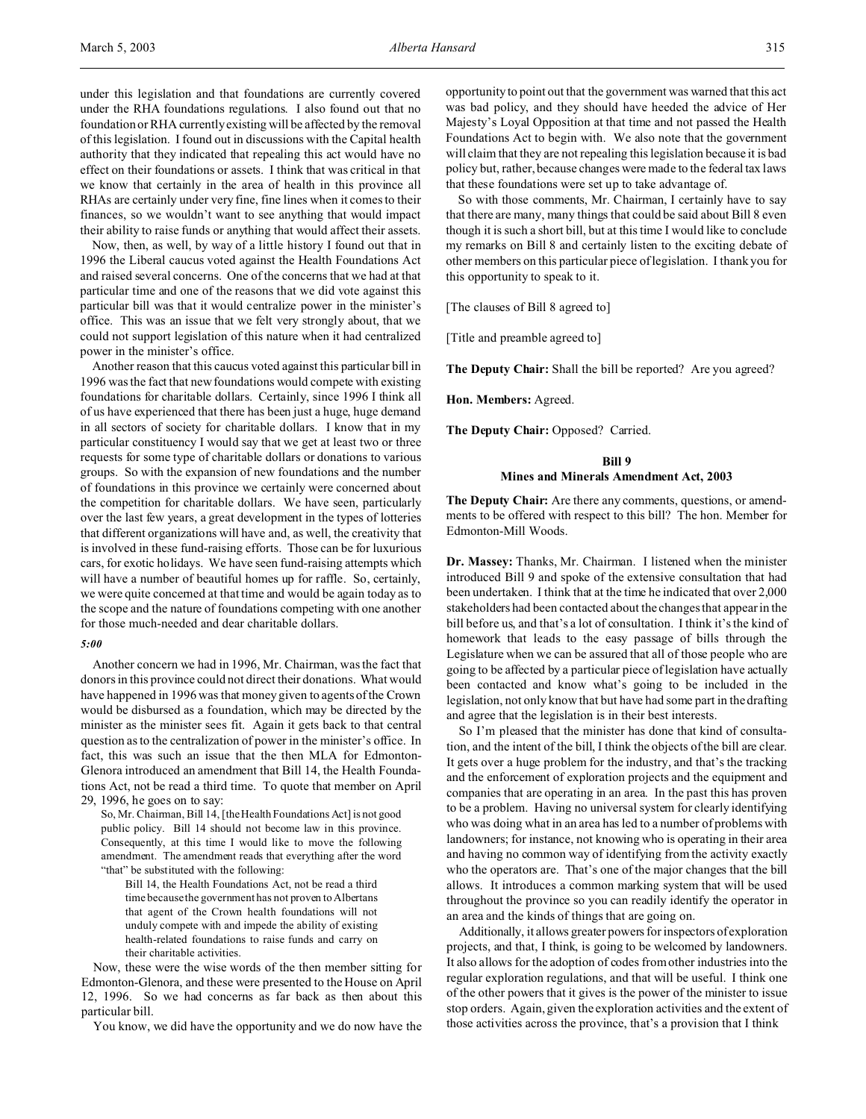under this legislation and that foundations are currently covered under the RHA foundations regulations. I also found out that no foundation or RHA currently existing will be affected by the removal of this legislation. I found out in discussions with the Capital health authority that they indicated that repealing this act would have no effect on their foundations or assets. I think that was critical in that we know that certainly in the area of health in this province all RHAs are certainly under very fine, fine lines when it comes to their finances, so we wouldn't want to see anything that would impact their ability to raise funds or anything that would affect their assets.

Now, then, as well, by way of a little history I found out that in 1996 the Liberal caucus voted against the Health Foundations Act and raised several concerns. One of the concerns that we had at that particular time and one of the reasons that we did vote against this particular bill was that it would centralize power in the minister's office. This was an issue that we felt very strongly about, that we could not support legislation of this nature when it had centralized power in the minister's office.

Another reason that this caucus voted against this particular bill in 1996 was the fact that new foundations would compete with existing foundations for charitable dollars. Certainly, since 1996 I think all of us have experienced that there has been just a huge, huge demand in all sectors of society for charitable dollars. I know that in my particular constituency I would say that we get at least two or three requests for some type of charitable dollars or donations to various groups. So with the expansion of new foundations and the number of foundations in this province we certainly were concerned about the competition for charitable dollars. We have seen, particularly over the last few years, a great development in the types of lotteries that different organizations will have and, as well, the creativity that is involved in these fund-raising efforts. Those can be for luxurious cars, for exotic holidays. We have seen fund-raising attempts which will have a number of beautiful homes up for raffle. So, certainly, we were quite concerned at that time and would be again today as to the scope and the nature of foundations competing with one another for those much-needed and dear charitable dollars.

#### *5:00*

Another concern we had in 1996, Mr. Chairman, was the fact that donors in this province could not direct their donations. What would have happened in 1996 was that money given to agents of the Crown would be disbursed as a foundation, which may be directed by the minister as the minister sees fit. Again it gets back to that central question as to the centralization of power in the minister's office. In fact, this was such an issue that the then MLA for Edmonton-Glenora introduced an amendment that Bill 14, the Health Foundations Act, not be read a third time. To quote that member on April 29, 1996, he goes on to say:

So, Mr. Chairman, Bill 14, [the Health Foundations Act] is not good public policy. Bill 14 should not become law in this province. Consequently, at this time I would like to move the following amendment. The amendment reads that everything after the word "that" be substituted with the following:

Bill 14, the Health Foundations Act, not be read a third time because the government has not proven to Albertans that agent of the Crown health foundations will not unduly compete with and impede the ability of existing health-related foundations to raise funds and carry on their charitable activities.

Now, these were the wise words of the then member sitting for Edmonton-Glenora, and these were presented to the House on April 12, 1996. So we had concerns as far back as then about this particular bill.

You know, we did have the opportunity and we do now have the

opportunity to point out that the government was warned that this act was bad policy, and they should have heeded the advice of Her Majesty's Loyal Opposition at that time and not passed the Health Foundations Act to begin with. We also note that the government will claim that they are not repealing this legislation because it is bad policy but, rather, because changes were made to the federal tax laws that these foundations were set up to take advantage of.

So with those comments, Mr. Chairman, I certainly have to say that there are many, many things that could be said about Bill 8 even though it is such a short bill, but at this time I would like to conclude my remarks on Bill 8 and certainly listen to the exciting debate of other members on this particular piece of legislation. I thank you for this opportunity to speak to it.

[The clauses of Bill 8 agreed to]

[Title and preamble agreed to]

**The Deputy Chair:** Shall the bill be reported? Are you agreed?

**Hon. Members:** Agreed.

**The Deputy Chair:** Opposed? Carried.

#### **Bill 9**

#### **Mines and Minerals Amendment Act, 2003**

**The Deputy Chair:** Are there any comments, questions, or amendments to be offered with respect to this bill? The hon. Member for Edmonton-Mill Woods.

**Dr. Massey:** Thanks, Mr. Chairman. I listened when the minister introduced Bill 9 and spoke of the extensive consultation that had been undertaken. I think that at the time he indicated that over 2,000 stakeholders had been contacted about the changes that appear in the bill before us, and that's a lot of consultation. I think it's the kind of homework that leads to the easy passage of bills through the Legislature when we can be assured that all of those people who are going to be affected by a particular piece of legislation have actually been contacted and know what's going to be included in the legislation, not only know that but have had some part in the drafting and agree that the legislation is in their best interests.

So I'm pleased that the minister has done that kind of consultation, and the intent of the bill, I think the objects of the bill are clear. It gets over a huge problem for the industry, and that's the tracking and the enforcement of exploration projects and the equipment and companies that are operating in an area. In the past this has proven to be a problem. Having no universal system for clearly identifying who was doing what in an area has led to a number of problems with landowners; for instance, not knowing who is operating in their area and having no common way of identifying from the activity exactly who the operators are. That's one of the major changes that the bill allows. It introduces a common marking system that will be used throughout the province so you can readily identify the operator in an area and the kinds of things that are going on.

Additionally, it allows greater powers for inspectors of exploration projects, and that, I think, is going to be welcomed by landowners. It also allows for the adoption of codes from other industries into the regular exploration regulations, and that will be useful. I think one of the other powers that it gives is the power of the minister to issue stop orders. Again, given the exploration activities and the extent of those activities across the province, that's a provision that I think